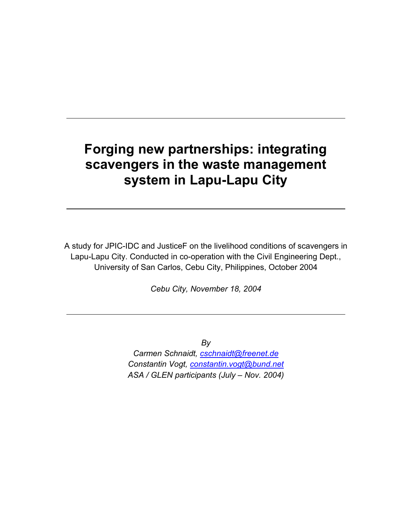# **Forging new partnerships: integrating scavengers in the waste management system in Lapu-Lapu City**

A study for JPIC-IDC and JusticeF on the livelihood conditions of scavengers in Lapu-Lapu City. Conducted in co-operation with the Civil Engineering Dept., University of San Carlos, Cebu City, Philippines, October 2004

*Cebu City, November 18, 2004* 

*By* 

*Carmen Schnaidt, [cschnaidt@freenet.de](mailto:cschnaidt@freenet.de) Constantin Vogt, [constantin.vogt@bund.net](mailto:constantin.vogt@bund.net) ASA / GLEN participants (July – Nov. 2004)*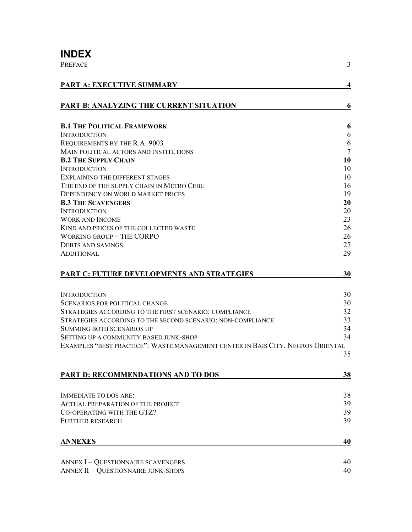# **INDEX**

| <b>PREFACE</b>                                                                  | 3              |
|---------------------------------------------------------------------------------|----------------|
| PART A: EXECUTIVE SUMMARY                                                       | 4              |
| <b>PART B: ANALYZING THE CURRENT SITUATION</b>                                  | 6              |
| <b>B.1 THE POLITICAL FRAMEWORK</b>                                              | 6              |
| <b>INTRODUCTION</b>                                                             | 6              |
| REQUIREMENTS BY THE R.A. 9003                                                   | 6              |
| MAIN POLITICAL ACTORS AND INSTITUTIONS                                          | $\overline{7}$ |
| <b>B.2 THE SUPPLY CHAIN</b>                                                     | 10             |
| <b>INTRODUCTION</b>                                                             | 10             |
| <b>EXPLAINING THE DIFFERENT STAGES</b>                                          | 10             |
| THE END OF THE SUPPLY CHAIN IN METRO CEBU                                       | 16             |
| DEPENDENCY ON WORLD MARKET PRICES                                               | 19             |
| <b>B.3 THE SCAVENGERS</b>                                                       | 20             |
| <b>INTRODUCTION</b>                                                             | 20             |
| <b>WORK AND INCOME</b>                                                          | 23             |
| KIND AND PRICES OF THE COLLECTED WASTE                                          | 26             |
| <b>WORKING GROUP - THE CORPO</b>                                                | 26             |
| <b>DEBTS AND SAVINGS</b>                                                        | 27             |
| <b>ADDITIONAL</b>                                                               | 29             |
| <b>PART C: FUTURE DEVELOPMENTS AND STRATEGIES</b>                               | 30             |
| <b>INTRODUCTION</b>                                                             | 30             |
| <b>SCENARIOS FOR POLITICAL CHANGE</b>                                           | 30             |
| STRATEGIES ACCORDING TO THE FIRST SCENARIO: COMPLIANCE                          | 32             |
| STRATEGIES ACCORDING TO THE SECOND SCENARIO: NON-COMPLIANCE                     | 33             |
| <b>SUMMING BOTH SCENARIOS UP</b>                                                | 34             |
| SETTING UP A COMMUNITY BASED JUNK-SHOP                                          | 34             |
| EXAMPLES "BEST PRACTICE": WASTE MANAGEMENT CENTER IN BAIS CITY, NEGROS ORIENTAL |                |
|                                                                                 | 35             |
|                                                                                 |                |
| <b>PART D: RECOMMENDATIONS AND TO DOS</b>                                       | 38             |
| <b>IMMEDIATE TO DOS ARE:</b>                                                    | 38             |
| <b>ACTUAL PREPARATION OF THE PROJECT</b>                                        | 39             |
| CO-OPERATING WITH THE GTZ?                                                      | 39             |
| <b>FURTHER RESEARCH</b>                                                         | 39             |
| <b>ANNEXES</b>                                                                  |                |
|                                                                                 | 40             |
| <b>ANNEX I - QUESTIONNAIRE SCAVENGERS</b>                                       | 40             |
| <b>ANNEX II - QUESTIONNAIRE JUNK-SHOPS</b>                                      | 40             |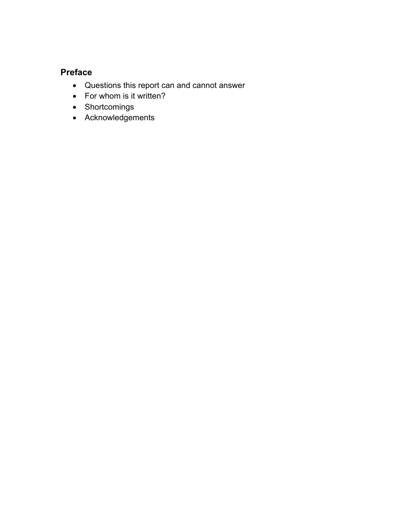### <span id="page-2-0"></span>**Preface**

- Questions this report can and cannot answer
- For whom is it written?
- Shortcomings
- Acknowledgements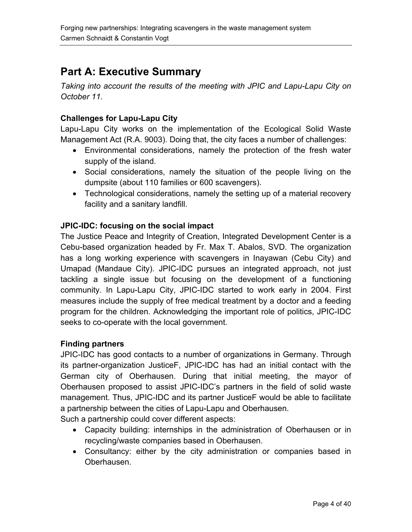# <span id="page-3-0"></span>**Part A: Executive Summary**

*Taking into account the results of the meeting with JPIC and Lapu-Lapu City on October 11.* 

#### **Challenges for Lapu-Lapu City**

Lapu-Lapu City works on the implementation of the Ecological Solid Waste Management Act (R.A. 9003). Doing that, the city faces a number of challenges:

- Environmental considerations, namely the protection of the fresh water supply of the island.
- Social considerations, namely the situation of the people living on the dumpsite (about 110 families or 600 scavengers).
- Technological considerations, namely the setting up of a material recovery facility and a sanitary landfill.

#### **JPIC-IDC: focusing on the social impact**

The Justice Peace and Integrity of Creation, Integrated Development Center is a Cebu-based organization headed by Fr. Max T. Abalos, SVD. The organization has a long working experience with scavengers in Inayawan (Cebu City) and Umapad (Mandaue City). JPIC-IDC pursues an integrated approach, not just tackling a single issue but focusing on the development of a functioning community. In Lapu-Lapu City, JPIC-IDC started to work early in 2004. First measures include the supply of free medical treatment by a doctor and a feeding program for the children. Acknowledging the important role of politics, JPIC-IDC seeks to co-operate with the local government.

#### **Finding partners**

JPIC-IDC has good contacts to a number of organizations in Germany. Through its partner-organization JusticeF, JPIC-IDC has had an initial contact with the German city of Oberhausen. During that initial meeting, the mayor of Oberhausen proposed to assist JPIC-IDC's partners in the field of solid waste management. Thus, JPIC-IDC and its partner JusticeF would be able to facilitate a partnership between the cities of Lapu-Lapu and Oberhausen.

Such a partnership could cover different aspects:

- Capacity building: internships in the administration of Oberhausen or in recycling/waste companies based in Oberhausen.
- Consultancy: either by the city administration or companies based in Oberhausen.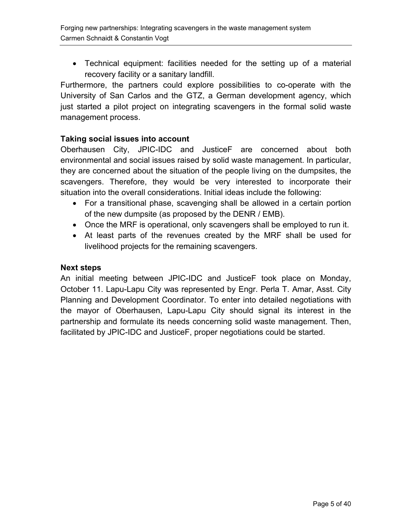• Technical equipment: facilities needed for the setting up of a material recovery facility or a sanitary landfill.

Furthermore, the partners could explore possibilities to co-operate with the University of San Carlos and the GTZ, a German development agency, which just started a pilot project on integrating scavengers in the formal solid waste management process.

#### **Taking social issues into account**

Oberhausen City, JPIC-IDC and JusticeF are concerned about both environmental and social issues raised by solid waste management. In particular, they are concerned about the situation of the people living on the dumpsites, the scavengers. Therefore, they would be very interested to incorporate their situation into the overall considerations. Initial ideas include the following:

- For a transitional phase, scavenging shall be allowed in a certain portion of the new dumpsite (as proposed by the DENR / EMB).
- Once the MRF is operational, only scavengers shall be employed to run it.
- At least parts of the revenues created by the MRF shall be used for livelihood projects for the remaining scavengers.

#### **Next steps**

An initial meeting between JPIC-IDC and JusticeF took place on Monday, October 11. Lapu-Lapu City was represented by Engr. Perla T. Amar, Asst. City Planning and Development Coordinator. To enter into detailed negotiations with the mayor of Oberhausen, Lapu-Lapu City should signal its interest in the partnership and formulate its needs concerning solid waste management. Then, facilitated by JPIC-IDC and JusticeF, proper negotiations could be started.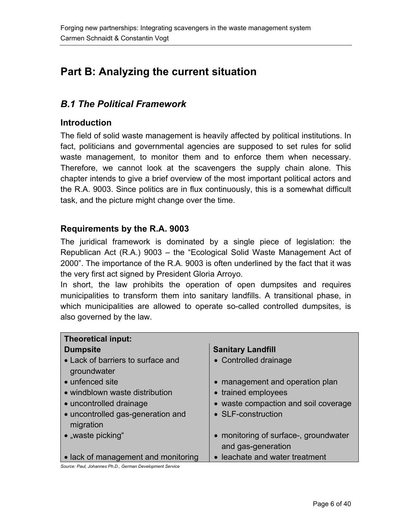# <span id="page-5-0"></span>**Part B: Analyzing the current situation**

### *B.1 The Political Framework*

#### **Introduction**

The field of solid waste management is heavily affected by political institutions. In fact, politicians and governmental agencies are supposed to set rules for solid waste management, to monitor them and to enforce them when necessary. Therefore, we cannot look at the scavengers the supply chain alone. This chapter intends to give a brief overview of the most important political actors and the R.A. 9003. Since politics are in flux continuously, this is a somewhat difficult task, and the picture might change over the time.

#### **Requirements by the R.A. 9003**

The juridical framework is dominated by a single piece of legislation: the Republican Act (R.A.) 9003 – the "Ecological Solid Waste Management Act of 2000". The importance of the R.A. 9003 is often underlined by the fact that it was the very first act signed by President Gloria Arroyo.

In short, the law prohibits the operation of open dumpsites and requires municipalities to transform them into sanitary landfills. A transitional phase, in which municipalities are allowed to operate so-called controlled dumpsites, is also governed by the law.

| <b>Theoretical input:</b>                        |                                       |
|--------------------------------------------------|---------------------------------------|
| <b>Dumpsite</b>                                  | <b>Sanitary Landfill</b>              |
| • Lack of barriers to surface and<br>groundwater | • Controlled drainage                 |
| • unfenced site                                  | • management and operation plan       |
| • windblown waste distribution                   | • trained employees                   |
| • uncontrolled drainage                          | • waste compaction and soil coverage  |
| • uncontrolled gas-generation and<br>migration   | • SLF-construction                    |
| • "waste picking"                                | • monitoring of surface-, groundwater |
|                                                  | and gas-generation                    |
| • lack of management and monitoring              | • leachate and water treatment        |

*Source: Paul, Johannes Ph.D., German Development Service*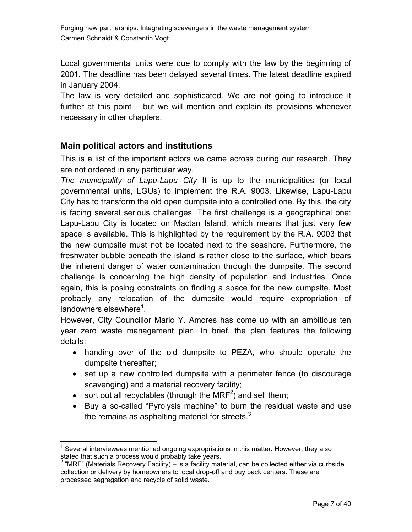<span id="page-6-0"></span>Local governmental units were due to comply with the law by the beginning of 2001. The deadline has been delayed several times. The latest deadline expired in January 2004.

The law is very detailed and sophisticated. We are not going to introduce it further at this point – but we will mention and explain its provisions whenever necessary in other chapters.

#### **Main political actors and institutions**

This is a list of the important actors we came across during our research. They are not ordered in any particular way.

*The municipality of Lapu-Lapu City* It is up to the municipalities (or local governmental units, LGUs) to implement the R.A. 9003. Likewise, Lapu-Lapu City has to transform the old open dumpsite into a controlled one. By this, the city is facing several serious challenges. The first challenge is a geographical one: Lapu-Lapu City is located on Mactan Island, which means that just very few space is available. This is highlighted by the requirement by the R.A. 9003 that the new dumpsite must not be located next to the seashore. Furthermore, the freshwater bubble beneath the island is rather close to the surface, which bears the inherent danger of water contamination through the dumpsite. The second challenge is concerning the high density of population and industries. Once again, this is posing constraints on finding a space for the new dumpsite. Most probably any relocation of the dumpsite would require expropriation of landowners elsewhere $^1$  $^1$ .

However, City Councillor Mario Y. Amores has come up with an ambitious ten year zero waste management plan. In brief, the plan features the following details:

- handing over of the old dumpsite to PEZA, who should operate the dumpsite thereafter;
- set up a new controlled dumpsite with a perimeter fence (to discourage scavenging) and a material recovery facility;
- sort out all recyclables (through the MRF<sup>2</sup>) and sell them;
- Buy a so-called "Pyrolysis machine" to burn the residual waste and use the remains as asphalting material for streets. $3$

<span id="page-6-1"></span> $\overline{a}$  $1$  Several interviewees mentioned ongoing expropriations in this matter. However, they also stated that such a process would probably take years.

<span id="page-6-2"></span> $2$  "MRF" (Materials Recovery Facility) – is a facility material, can be collected either via curbside collection or delivery by homeowners to local drop-off and buy back centers. These are processed segregation and recycle of solid waste.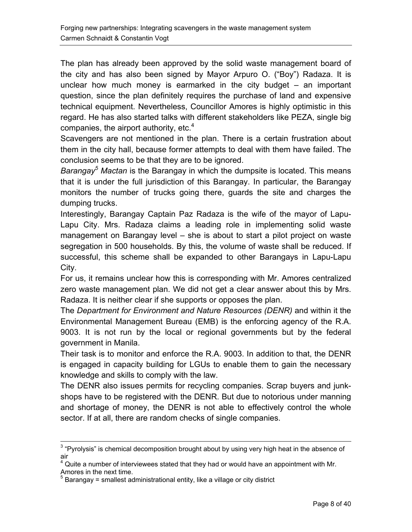The plan has already been approved by the solid waste management board of the city and has also been signed by Mayor Arpuro O. ("Boy") Radaza. It is unclear how much money is earmarked in the city budget – an important question, since the plan definitely requires the purchase of land and expensive technical equipment. Nevertheless, Councillor Amores is highly optimistic in this regard. He has also started talks with different stakeholders like PEZA, single big companies, the airport authority, etc. $4$ 

Scavengers are not mentioned in the plan. There is a certain frustration about them in the city hall, because former attempts to deal with them have failed. The conclusion seems to be that they are to be ignored.

*Barangay[5](#page-7-1) Mactan* is the Barangay in which the dumpsite is located. This means that it is under the full jurisdiction of this Barangay. In particular, the Barangay monitors the number of trucks going there, guards the site and charges the dumping trucks.

Interestingly, Barangay Captain Paz Radaza is the wife of the mayor of Lapu-Lapu City. Mrs. Radaza claims a leading role in implementing solid waste management on Barangay level – she is about to start a pilot project on waste segregation in 500 households. By this, the volume of waste shall be reduced. If successful, this scheme shall be expanded to other Barangays in Lapu-Lapu City.

For us, it remains unclear how this is corresponding with Mr. Amores centralized zero waste management plan. We did not get a clear answer about this by Mrs. Radaza. It is neither clear if she supports or opposes the plan.

The *Department for Environment and Nature Resources (DENR)* and within it the Environmental Management Bureau (EMB) is the enforcing agency of the R.A. 9003. It is not run by the local or regional governments but by the federal government in Manila.

Their task is to monitor and enforce the R.A. 9003. In addition to that, the DENR is engaged in capacity building for LGUs to enable them to gain the necessary knowledge and skills to comply with the law.

The DENR also issues permits for recycling companies. Scrap buyers and junkshops have to be registered with the DENR. But due to notorious under manning and shortage of money, the DENR is not able to effectively control the whole sector. If at all, there are random checks of single companies.

3 "Pyrolysis" is chemical decomposition brought about by using very high heat in the absence of air

<span id="page-7-0"></span> $4$  Quite a number of interviewees stated that they had or would have an appointment with Mr. Amores in the next time.<br><sup>5</sup> Perspaay = emellest ad

<span id="page-7-1"></span>Barangay = smallest administrational entity, like a village or city district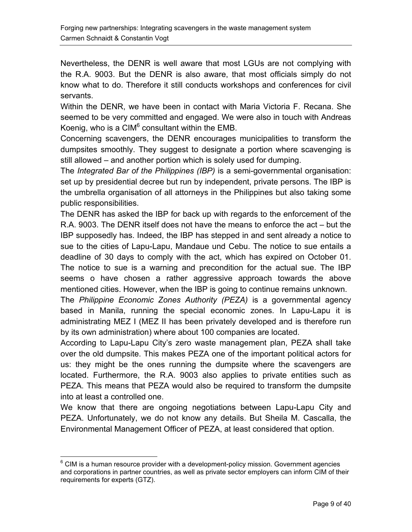Nevertheless, the DENR is well aware that most LGUs are not complying with the R.A. 9003. But the DENR is also aware, that most officials simply do not know what to do. Therefore it still conducts workshops and conferences for civil servants.

Within the DENR, we have been in contact with Maria Victoria F. Recana. She seemed to be very committed and engaged. We were also in touch with Andreas Koenig, who is a CIM $^6$  consultant within the EMB.

Concerning scavengers, the DENR encourages municipalities to transform the dumpsites smoothly. They suggest to designate a portion where scavenging is still allowed – and another portion which is solely used for dumping.

The *Integrated Bar of the Philippines (IBP)* is a semi-governmental organisation: set up by presidential decree but run by independent, private persons. The IBP is the umbrella organisation of all attorneys in the Philippines but also taking some public responsibilities.

The DENR has asked the IBP for back up with regards to the enforcement of the R.A. 9003. The DENR itself does not have the means to enforce the act – but the IBP supposedly has. Indeed, the IBP has stepped in and sent already a notice to sue to the cities of Lapu-Lapu, Mandaue und Cebu. The notice to sue entails a deadline of 30 days to comply with the act, which has expired on October 01. The notice to sue is a warning and precondition for the actual sue. The IBP seems o have chosen a rather aggressive approach towards the above mentioned cities. However, when the IBP is going to continue remains unknown.

The *Philippine Economic Zones Authority (PEZA)* is a governmental agency based in Manila, running the special economic zones. In Lapu-Lapu it is administrating MEZ I (MEZ II has been privately developed and is therefore run by its own administration) where about 100 companies are located.

According to Lapu-Lapu City's zero waste management plan, PEZA shall take over the old dumpsite. This makes PEZA one of the important political actors for us: they might be the ones running the dumpsite where the scavengers are located. Furthermore, the R.A. 9003 also applies to private entities such as PEZA. This means that PEZA would also be required to transform the dumpsite into at least a controlled one.

We know that there are ongoing negotiations between Lapu-Lapu City and PEZA. Unfortunately, we do not know any details. But Sheila M. Cascalla, the Environmental Management Officer of PEZA, at least considered that option.

<span id="page-8-0"></span> $\overline{a}$  $^6$  CIM is a human resource provider with a development-policy mission. Government agencies and corporations in partner countries, as well as private sector employers can inform CIM of their requirements for experts (GTZ).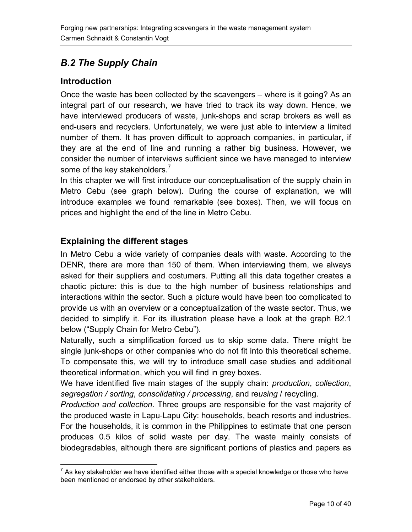# <span id="page-9-0"></span>*B.2 The Supply Chain*

#### **Introduction**

Once the waste has been collected by the scavengers – where is it going? As an integral part of our research, we have tried to track its way down. Hence, we have interviewed producers of waste, junk-shops and scrap brokers as well as end-users and recyclers. Unfortunately, we were just able to interview a limited number of them. It has proven difficult to approach companies, in particular, if they are at the end of line and running a rather big business. However, we consider the number of interviews sufficient since we have managed to interview some of the key stakeholders.<sup>[7](#page-9-1)</sup>

In this chapter we will first introduce our conceptualisation of the supply chain in Metro Cebu (see graph below). During the course of explanation, we will introduce examples we found remarkable (see boxes). Then, we will focus on prices and highlight the end of the line in Metro Cebu.

### **Explaining the different stages**

In Metro Cebu a wide variety of companies deals with waste. According to the DENR, there are more than 150 of them. When interviewing them, we always asked for their suppliers and costumers. Putting all this data together creates a chaotic picture: this is due to the high number of business relationships and interactions within the sector. Such a picture would have been too complicated to provide us with an overview or a conceptualization of the waste sector. Thus, we decided to simplify it. For its illustration please have a look at the graph B2.1 below ("Supply Chain for Metro Cebu").

Naturally, such a simplification forced us to skip some data. There might be single junk-shops or other companies who do not fit into this theoretical scheme. To compensate this, we will try to introduce small case studies and additional theoretical information, which you will find in grey boxes.

We have identified five main stages of the supply chain: *production*, *collection*, *segregation / sorting*, *consolidating / processing*, and re*using* / recycling.

*Production and collection*. Three groups are responsible for the vast majority of the produced waste in Lapu-Lapu City: households, beach resorts and industries. For the households, it is common in the Philippines to estimate that one person produces 0.5 kilos of solid waste per day. The waste mainly consists of biodegradables, although there are significant portions of plastics and papers as

<span id="page-9-1"></span> 7 As key stakeholder we have identified either those with a special knowledge or those who have been mentioned or endorsed by other stakeholders.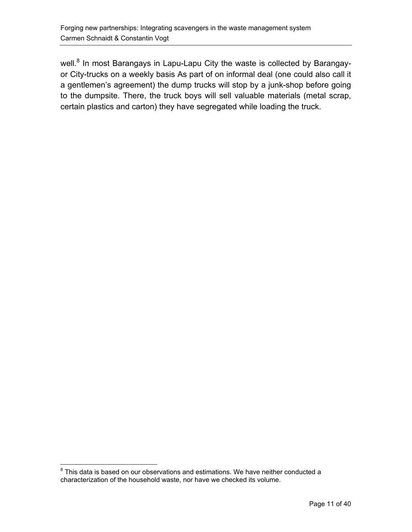well.<sup>[8](#page-10-0)</sup> In most Barangays in Lapu-Lapu City the waste is collected by Barangayor City-trucks on a weekly basis As part of on informal deal (one could also call it a gentlemen's agreement) the dump trucks will stop by a junk-shop before going to the dumpsite. There, the truck boys will sell valuable materials (metal scrap, certain plastics and carton) they have segregated while loading the truck.

<span id="page-10-0"></span> 8 This data is based on our observations and estimations. We have neither conducted a characterization of the household waste, nor have we checked its volume.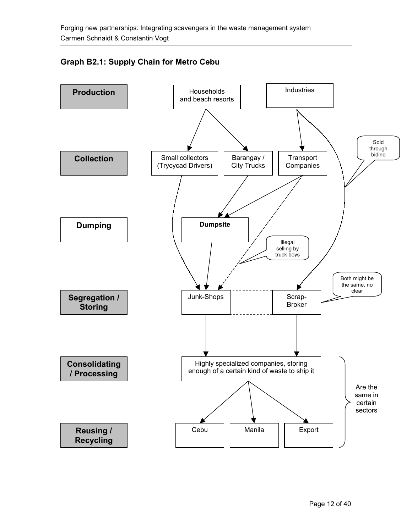#### **Graph B2.1: Supply Chain for Metro Cebu**

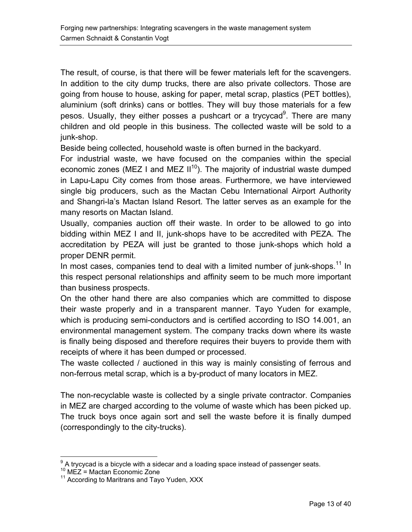The result, of course, is that there will be fewer materials left for the scavengers. In addition to the city dump trucks, there are also private collectors. Those are going from house to house, asking for paper, metal scrap, plastics (PET bottles), aluminium (soft drinks) cans or bottles. They will buy those materials for a few pesos. Usually, they either posses a pushcart or a trycycad<sup>[9](#page-12-0)</sup>. There are many children and old people in this business. The collected waste will be sold to a junk-shop.

Beside being collected, household waste is often burned in the backyard.

For industrial waste, we have focused on the companies within the special economic zones (MEZ I and MEZ  $II^{10}$ ). The majority of industrial waste dumped in Lapu-Lapu City comes from those areas. Furthermore, we have interviewed single big producers, such as the Mactan Cebu International Airport Authority and Shangri-la's Mactan Island Resort. The latter serves as an example for the many resorts on Mactan Island.

Usually, companies auction off their waste. In order to be allowed to go into bidding within MEZ I and II, junk-shops have to be accredited with PEZA. The accreditation by PEZA will just be granted to those junk-shops which hold a proper DENR permit.

In most cases, companies tend to deal with a limited number of junk-shops.<sup>11</sup> In this respect personal relationships and affinity seem to be much more important than business prospects.

On the other hand there are also companies which are committed to dispose their waste properly and in a transparent manner. Tayo Yuden for example, which is producing semi-conductors and is certified according to ISO 14.001, an environmental management system. The company tracks down where its waste is finally being disposed and therefore requires their buyers to provide them with receipts of where it has been dumped or processed.

The waste collected / auctioned in this way is mainly consisting of ferrous and non-ferrous metal scrap, which is a by-product of many locators in MEZ.

The non-recyclable waste is collected by a single private contractor. Companies in MEZ are charged according to the volume of waste which has been picked up. The truck boys once again sort and sell the waste before it is finally dumped (correspondingly to the city-trucks).

 $\overline{a}$  $^9$  A trycycad is a bicycle with a sidecar and a loading space instead of passenger seats.<br><sup>10</sup> MEZ = Mactan Economic Zone

<span id="page-12-2"></span><span id="page-12-1"></span>

<span id="page-12-0"></span> $10^{10}$  MEZ = Mactan Economic Zone<br> $11^{10}$  According to Maritrans and Tayo Yuden, XXX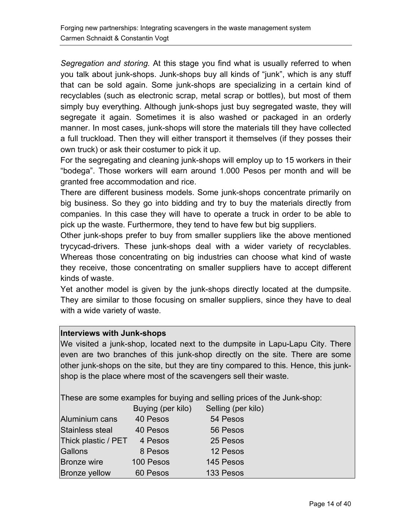*Segregation and storing.* At this stage you find what is usually referred to when you talk about junk-shops. Junk-shops buy all kinds of "junk", which is any stuff that can be sold again. Some junk-shops are specializing in a certain kind of recyclables (such as electronic scrap, metal scrap or bottles), but most of them simply buy everything. Although junk-shops just buy segregated waste, they will segregate it again. Sometimes it is also washed or packaged in an orderly manner. In most cases, junk-shops will store the materials till they have collected a full truckload. Then they will either transport it themselves (if they posses their own truck) or ask their costumer to pick it up.

For the segregating and cleaning junk-shops will employ up to 15 workers in their "bodega". Those workers will earn around 1.000 Pesos per month and will be granted free accommodation and rice.

There are different business models. Some junk-shops concentrate primarily on big business. So they go into bidding and try to buy the materials directly from companies. In this case they will have to operate a truck in order to be able to pick up the waste. Furthermore, they tend to have few but big suppliers.

Other junk-shops prefer to buy from smaller suppliers like the above mentioned trycycad-drivers. These junk-shops deal with a wider variety of recyclables. Whereas those concentrating on big industries can choose what kind of waste they receive, those concentrating on smaller suppliers have to accept different kinds of waste.

Yet another model is given by the junk-shops directly located at the dumpsite. They are similar to those focusing on smaller suppliers, since they have to deal with a wide variety of waste.

#### **Interviews with Junk-shops**

We visited a junk-shop, located next to the dumpsite in Lapu-Lapu City. There even are two branches of this junk-shop directly on the site. There are some other junk-shops on the site, but they are tiny compared to this. Hence, this junkshop is the place where most of the scavengers sell their waste.

These are some examples for buying and selling prices of the Junk-shop:

|                     | Buying (per kilo) | Selling (per kilo) |
|---------------------|-------------------|--------------------|
| Aluminium cans      | 40 Pesos          | 54 Pesos           |
| Stainless steal     | 40 Pesos          | 56 Pesos           |
| Thick plastic / PET | 4 Pesos           | 25 Pesos           |
| Gallons             | 8 Pesos           | 12 Pesos           |
| <b>Bronze wire</b>  | 100 Pesos         | 145 Pesos          |
| Bronze yellow       | 60 Pesos          | 133 Pesos          |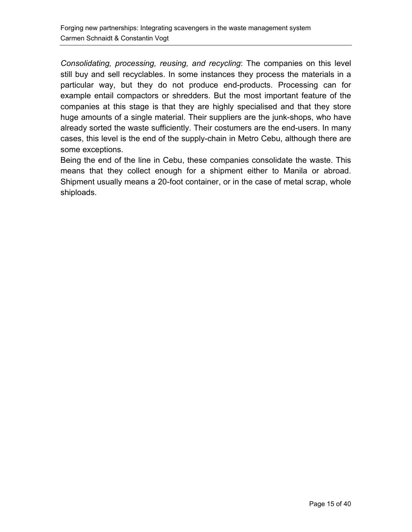*Consolidating, processing, reusing, and recycling*: The companies on this level still buy and sell recyclables. In some instances they process the materials in a particular way, but they do not produce end-products. Processing can for example entail compactors or shredders. But the most important feature of the companies at this stage is that they are highly specialised and that they store huge amounts of a single material. Their suppliers are the junk-shops, who have already sorted the waste sufficiently. Their costumers are the end-users. In many cases, this level is the end of the supply-chain in Metro Cebu, although there are some exceptions.

Being the end of the line in Cebu, these companies consolidate the waste. This means that they collect enough for a shipment either to Manila or abroad. Shipment usually means a 20-foot container, or in the case of metal scrap, whole shiploads.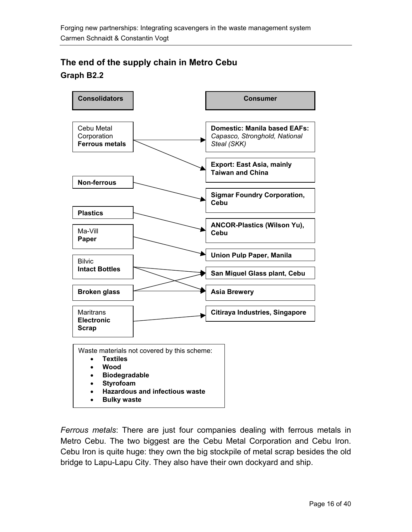### <span id="page-15-0"></span>**The end of the supply chain in Metro Cebu Graph B2.2**



*Ferrous metals*: There are just four companies dealing with ferrous metals in Metro Cebu. The two biggest are the Cebu Metal Corporation and Cebu Iron. Cebu Iron is quite huge: they own the big stockpile of metal scrap besides the old bridge to Lapu-Lapu City. They also have their own dockyard and ship.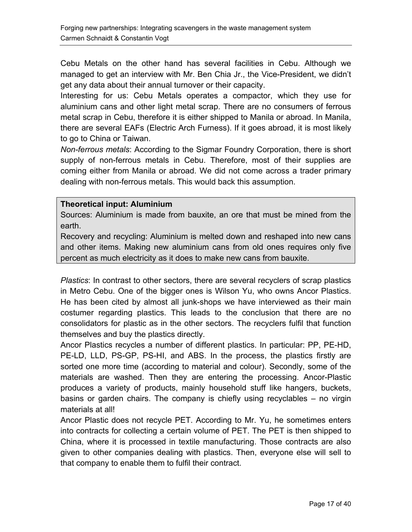Cebu Metals on the other hand has several facilities in Cebu. Although we managed to get an interview with Mr. Ben Chia Jr., the Vice-President, we didn't get any data about their annual turnover or their capacity.

Interesting for us: Cebu Metals operates a compactor, which they use for aluminium cans and other light metal scrap. There are no consumers of ferrous metal scrap in Cebu, therefore it is either shipped to Manila or abroad. In Manila, there are several EAFs (Electric Arch Furness). If it goes abroad, it is most likely to go to China or Taiwan.

*Non-ferrous metals*: According to the Sigmar Foundry Corporation, there is short supply of non-ferrous metals in Cebu. Therefore, most of their supplies are coming either from Manila or abroad. We did not come across a trader primary dealing with non-ferrous metals. This would back this assumption.

#### **Theoretical input: Aluminium**

Sources: Aluminium is made from bauxite, an ore that must be mined from the earth.

Recovery and recycling: Aluminium is melted down and reshaped into new cans and other items. Making new aluminium cans from old ones requires only five percent as much electricity as it does to make new cans from bauxite.

*Plastics*: In contrast to other sectors, there are several recyclers of scrap plastics in Metro Cebu. One of the bigger ones is Wilson Yu, who owns Ancor Plastics. He has been cited by almost all junk-shops we have interviewed as their main costumer regarding plastics. This leads to the conclusion that there are no consolidators for plastic as in the other sectors. The recyclers fulfil that function themselves and buy the plastics directly.

Ancor Plastics recycles a number of different plastics. In particular: PP, PE-HD, PE-LD, LLD, PS-GP, PS-HI, and ABS. In the process, the plastics firstly are sorted one more time (according to material and colour). Secondly, some of the materials are washed. Then they are entering the processing. Ancor-Plastic produces a variety of products, mainly household stuff like hangers, buckets, basins or garden chairs. The company is chiefly using recyclables – no virgin materials at all!

Ancor Plastic does not recycle PET. According to Mr. Yu, he sometimes enters into contracts for collecting a certain volume of PET. The PET is then shipped to China, where it is processed in textile manufacturing. Those contracts are also given to other companies dealing with plastics. Then, everyone else will sell to that company to enable them to fulfil their contract.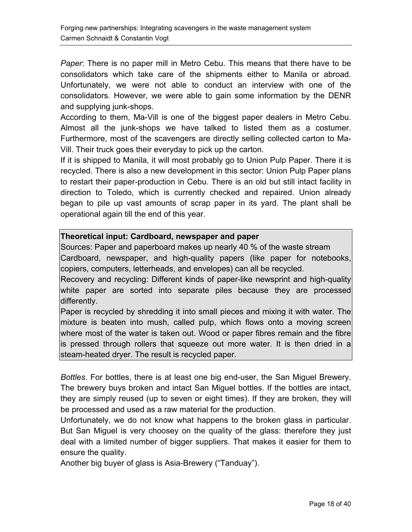*Paper*: There is no paper mill in Metro Cebu. This means that there have to be consolidators which take care of the shipments either to Manila or abroad. Unfortunately, we were not able to conduct an interview with one of the consolidators. However, we were able to gain some information by the DENR and supplying junk-shops.

According to them, Ma-Vill is one of the biggest paper dealers in Metro Cebu. Almost all the junk-shops we have talked to listed them as a costumer. Furthermore, most of the scavengers are directly selling collected carton to Ma-Vill. Their truck goes their everyday to pick up the carton.

If it is shipped to Manila, it will most probably go to Union Pulp Paper. There it is recycled. There is also a new development in this sector: Union Pulp Paper plans to restart their paper-production in Cebu. There is an old but still intact facility in direction to Toledo, which is currently checked and repaired. Union already began to pile up vast amounts of scrap paper in its yard. The plant shall be operational again till the end of this year.

#### **Theoretical input: Cardboard, newspaper and paper**

Sources: Paper and paperboard makes up nearly 40 % of the waste stream Cardboard, newspaper, and high-quality papers (like paper for notebooks, copiers, computers, letterheads, and envelopes) can all be recycled.

Recovery and recycling: Different kinds of paper-like newsprint and high-quality white paper are sorted into separate piles because they are processed differently.

Paper is recycled by shredding it into small pieces and mixing it with water. The mixture is beaten into mush, called pulp, which flows onto a moving screen where most of the water is taken out. Wood or paper fibres remain and the fibre is pressed through rollers that squeeze out more water. It is then dried in a steam-heated dryer. The result is recycled paper.

*Bottles*. For bottles, there is at least one big end-user, the San Miguel Brewery. The brewery buys broken and intact San Miguel bottles. If the bottles are intact, they are simply reused (up to seven or eight times). If they are broken, they will be processed and used as a raw material for the production.

Unfortunately, we do not know what happens to the broken glass in particular. But San Miguel is very choosey on the quality of the glass: therefore they just deal with a limited number of bigger suppliers. That makes it easier for them to ensure the quality.

Another big buyer of glass is Asia-Brewery ("Tanduay").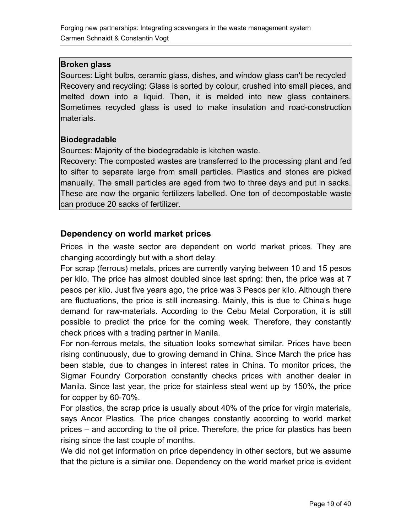#### <span id="page-18-0"></span>**Broken glass**

Sources: Light bulbs, ceramic glass, dishes, and window glass can't be recycled Recovery and recycling: Glass is sorted by colour, crushed into small pieces, and melted down into a liquid. Then, it is melded into new glass containers. Sometimes recycled glass is used to make insulation and road-construction materials.

#### **Biodegradable**

Sources: Majority of the biodegradable is kitchen waste.

Recovery: The composted wastes are transferred to the processing plant and fed to sifter to separate large from small particles. Plastics and stones are picked manually. The small particles are aged from two to three days and put in sacks. These are now the organic fertilizers labelled. One ton of decompostable waste can produce 20 sacks of fertilizer.

#### **Dependency on world market prices**

Prices in the waste sector are dependent on world market prices. They are changing accordingly but with a short delay.

For scrap (ferrous) metals, prices are currently varying between 10 and 15 pesos per kilo. The price has almost doubled since last spring: then, the price was at 7 pesos per kilo. Just five years ago, the price was 3 Pesos per kilo. Although there are fluctuations, the price is still increasing. Mainly, this is due to China's huge demand for raw-materials. According to the Cebu Metal Corporation, it is still possible to predict the price for the coming week. Therefore, they constantly check prices with a trading partner in Manila.

For non-ferrous metals, the situation looks somewhat similar. Prices have been rising continuously, due to growing demand in China. Since March the price has been stable, due to changes in interest rates in China. To monitor prices, the Sigmar Foundry Corporation constantly checks prices with another dealer in Manila. Since last year, the price for stainless steal went up by 150%, the price for copper by 60-70%.

For plastics, the scrap price is usually about 40% of the price for virgin materials, says Ancor Plastics. The price changes constantly according to world market prices – and according to the oil price. Therefore, the price for plastics has been rising since the last couple of months.

We did not get information on price dependency in other sectors, but we assume that the picture is a similar one. Dependency on the world market price is evident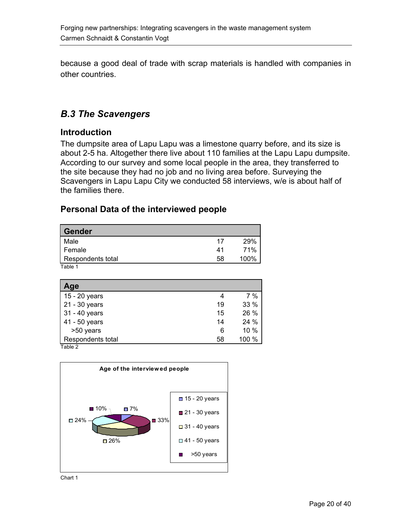<span id="page-19-0"></span>because a good deal of trade with scrap materials is handled with companies in other countries.

### *B.3 The Scavengers*

#### **Introduction**

The dumpsite area of Lapu Lapu was a limestone quarry before, and its size is about 2-5 ha. Altogether there live about 110 families at the Lapu Lapu dumpsite. According to our survey and some local people in the area, they transferred to the site because they had no job and no living area before. Surveying the Scavengers in Lapu Lapu City we conducted 58 interviews, w/e is about half of the families there.

#### **Personal Data of the interviewed people**

| <b>Gender</b>     |    |      |
|-------------------|----|------|
| Male              | 17 | 29%  |
| Female            | 41 | 71%  |
| Respondents total | 58 | 100% |
| Table 1           |    |      |

| Age               |    |       |
|-------------------|----|-------|
| 15 - 20 years     |    | 7%    |
| 21 - 30 years     | 19 | 33 %  |
| 31 - 40 years     | 15 | 26 %  |
| 41 - 50 years     | 14 | 24 %  |
| >50 years         | 6  | 10 %  |
| Respondents total | 58 | 100 % |
| Table 2           |    |       |



Chart 1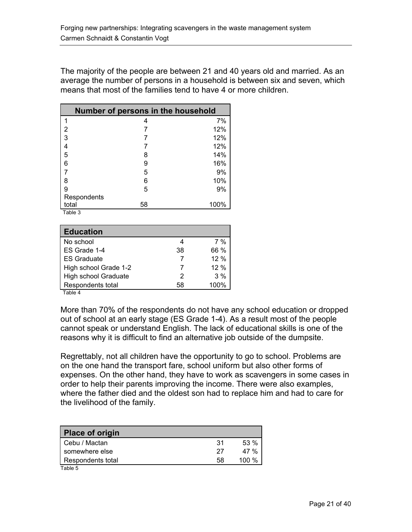The majority of the people are between 21 and 40 years old and married. As an average the number of persons in a household is between six and seven, which means that most of the families tend to have 4 or more children.

| Number of persons in the household |    |      |
|------------------------------------|----|------|
| 1                                  | 4  | 7%   |
| $\overline{2}$                     |    | 12%  |
| 3                                  |    | 12%  |
| 4                                  |    | 12%  |
| 5                                  | 8  | 14%  |
| 6                                  | 9  | 16%  |
| 7                                  | 5  | 9%   |
| 8                                  | 6  | 10%  |
| 9                                  | 5  | 9%   |
| Respondents                        |    |      |
| total                              | 58 | 100% |

Table 3

| <b>Education</b>      |    |      |
|-----------------------|----|------|
| No school             |    | 7%   |
| ES Grade 1-4          | 38 | 66 % |
| <b>ES Graduate</b>    |    | 12%  |
| High school Grade 1-2 | 7  | 12%  |
| High school Graduate  | 2  | 3%   |
| Respondents total     | 58 | 100% |

Table 4

More than 70% of the respondents do not have any school education or dropped out of school at an early stage (ES Grade 1-4). As a result most of the people cannot speak or understand English. The lack of educational skills is one of the reasons why it is difficult to find an alternative job outside of the dumpsite.

Regrettably, not all children have the opportunity to go to school. Problems are on the one hand the transport fare, school uniform but also other forms of expenses. On the other hand, they have to work as scavengers in some cases in order to help their parents improving the income. There were also examples, where the father died and the oldest son had to replace him and had to care for the livelihood of the family.

| <b>Place of origin</b> |     |         |
|------------------------|-----|---------|
| Cebu / Mactan          | .31 | 53%     |
| somewhere else         | -27 | 47%     |
| Respondents total      | 58  | 100 $%$ |
| Table 5                |     |         |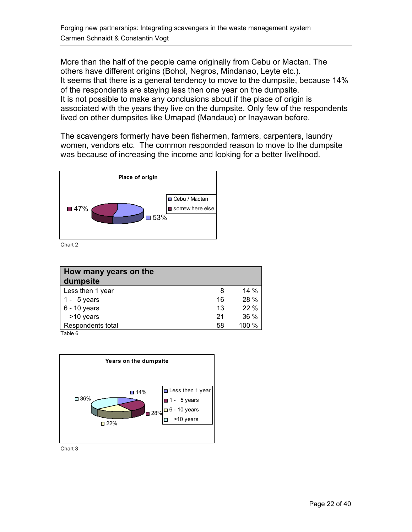More than the half of the people came originally from Cebu or Mactan. The others have different origins (Bohol, Negros, Mindanao, Leyte etc.). It seems that there is a general tendency to move to the dumpsite, because 14% of the respondents are staying less then one year on the dumpsite. It is not possible to make any conclusions about if the place of origin is associated with the years they live on the dumpsite. Only few of the respondents lived on other dumpsites like Umapad (Mandaue) or Inayawan before.

The scavengers formerly have been fishermen, farmers, carpenters, laundry women, vendors etc. The common responded reason to move to the dumpsite was because of increasing the income and looking for a better livelihood.



Chart 2

| How many years on the<br>dumpsite       |    |        |
|-----------------------------------------|----|--------|
| Less then 1 year                        | 8  | $14\%$ |
| 1 - $5$ years                           | 16 | 28 %   |
| $6 - 10$ years                          | 13 | 22 %   |
| >10 years                               | 21 | 36 %   |
| Respondents total<br>$T - L L - \Delta$ | 58 | 100 %  |

Table 6



Chart 3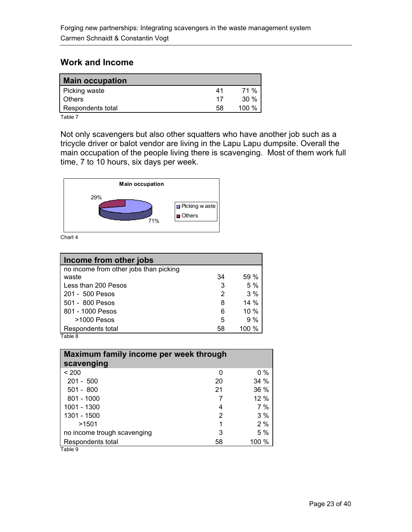#### <span id="page-22-0"></span>**Work and Income**

| <b>Main occupation</b> |    |      |
|------------------------|----|------|
| Picking waste          | 41 | 71 % |
| <b>Others</b>          | 17 | 30%  |
| Respondents total      | 58 | 100% |

Table 7

Not only scavengers but also other squatters who have another job such as a tricycle driver or balot vendor are living in the Lapu Lapu dumpsite. Overall the main occupation of the people living there is scavenging. Most of them work full time, 7 to 10 hours, six days per week.



Chart 4

| Income from other jobs                 |    |         |
|----------------------------------------|----|---------|
| no income from other jobs than picking |    |         |
| waste                                  | 34 | 59%     |
| Less than 200 Pesos                    | 3  | 5%      |
| 201 - 500 Pesos                        | 2  | 3%      |
| 501 - 800 Pesos                        | 8  | $14\%$  |
| 801 - 1000 Pesos                       | 6  | $10\%$  |
| $>1000$ Pesos                          | 5  | 9%      |
| Respondents total                      | 58 | 100 $%$ |
| Table 8                                |    |         |

| Maximum family income per week through |       |  |
|----------------------------------------|-------|--|
|                                        |       |  |
| 0                                      | $0\%$ |  |
| 20                                     | 34%   |  |
| 21                                     | 36 %  |  |
| 7                                      | 12%   |  |
| 4                                      | 7%    |  |
| 2                                      | 3%    |  |
| 1                                      | 2%    |  |
| 3                                      | 5 %   |  |
| 58                                     | 100%  |  |
|                                        |       |  |

Table 9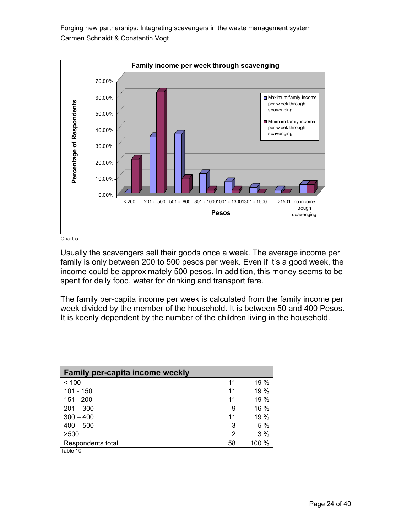

Chart 5

Usually the scavengers sell their goods once a week. The average income per family is only between 200 to 500 pesos per week. Even if it's a good week, the income could be approximately 500 pesos. In addition, this money seems to be spent for daily food, water for drinking and transport fare.

The family per-capita income per week is calculated from the family income per week divided by the member of the household. It is between 50 and 400 Pesos. It is keenly dependent by the number of the children living in the household.

| <b>Family per-capita income weekly</b> |    |       |
|----------------------------------------|----|-------|
| < 100                                  | 11 | 19%   |
| 101 - 150                              | 11 | 19 %  |
| $151 - 200$                            | 11 | 19 %  |
| $201 - 300$                            | 9  | 16 %  |
| $300 - 400$                            | 11 | 19 %  |
| $400 - 500$                            | 3  | 5%    |
| >500                                   | 2  | 3%    |
| Respondents total                      | 58 | 100 % |
| Table 10                               |    |       |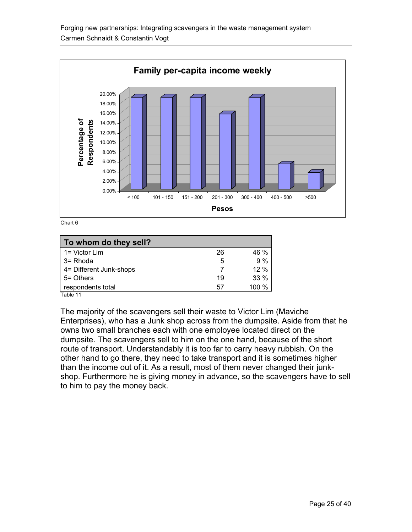

Chart 6

| To whom do they sell?             |    |        |
|-----------------------------------|----|--------|
| 1= Victor Lim                     | 26 | 46 %   |
| 3= Rhoda                          | 5  | 9%     |
| 4= Different Junk-shops           |    | 12%    |
| 5 = Others                        | 19 | $33\%$ |
| respondents total<br>$T - L = 44$ | 57 | 100 %  |

Table 11

The majority of the scavengers sell their waste to Victor Lim (Maviche Enterprises), who has a Junk shop across from the dumpsite. Aside from that he owns two small branches each with one employee located direct on the dumpsite. The scavengers sell to him on the one hand, because of the short route of transport. Understandably it is too far to carry heavy rubbish. On the other hand to go there, they need to take transport and it is sometimes higher than the income out of it. As a result, most of them never changed their junkshop. Furthermore he is giving money in advance, so the scavengers have to sell to him to pay the money back.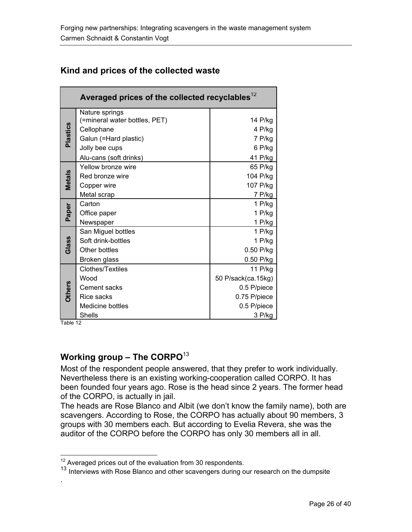|               | Averaged prices of the collected recyclables <sup>12</sup>                                                                         |                                                                                       |
|---------------|------------------------------------------------------------------------------------------------------------------------------------|---------------------------------------------------------------------------------------|
| Plastics      | Nature springs<br>(=mineral water bottles, PET)<br>Cellophane<br>Galun (=Hard plastic)<br>Jolly bee cups<br>Alu-cans (soft drinks) | 14 P/kg<br>4 P/kg<br>7 P/kg<br>6 P/kg<br>41 P/kg                                      |
| <b>Metals</b> | Yellow bronze wire<br>Red bronze wire<br>Copper wire<br>Metal scrap                                                                | 65 P/kg<br>104 P/kg<br>107 P/kg<br>7 P/kg                                             |
| Paper         | Carton<br>Office paper<br>Newspaper                                                                                                | 1 $P/kg$<br>1 P/kg<br>1 P/kg                                                          |
| Glass         | San Miguel bottles<br>Soft drink-bottles<br>Other bottles<br>Broken glass                                                          | 1 P/kg<br>1 P/kg<br>0.50 P/kg<br>0.50 P/kg                                            |
| <b>Others</b> | Clothes/Textiles<br>Wood<br>Cement sacks<br>Rice sacks<br>Medicine bottles<br><b>Shells</b>                                        | 11 P/kg<br>50 P/sack(ca.15kg)<br>0.5 P/piece<br>0.75 P/piece<br>0.5 P/piece<br>3 P/kg |

### <span id="page-25-0"></span>**Kind and prices of the collected waste**

Table 12

 $\overline{a}$ 

.

# **Working group – The CORPO**[13](#page-25-2)

Most of the respondent people answered, that they prefer to work individually. Nevertheless there is an existing working-cooperation called CORPO. It has been founded four years ago. Rose is the head since 2 years. The former head of the CORPO, is actually in jail.

The heads are Rose Blanco and Albit (we don't know the family name), both are scavengers. According to Rose, the CORPO has actually about 90 members, 3 groups with 30 members each. But according to Evelia Revera, she was the auditor of the CORPO before the CORPO has only 30 members all in all.

<span id="page-25-1"></span> $12$  Averaged prices out of the evaluation from 30 respondents.

<span id="page-25-2"></span><sup>&</sup>lt;sup>13</sup> Interviews with Rose Blanco and other scavengers during our research on the dumpsite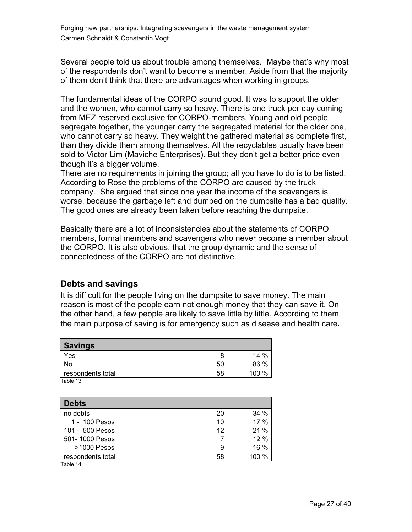<span id="page-26-0"></span>Several people told us about trouble among themselves. Maybe that's why most of the respondents don't want to become a member. Aside from that the majority of them don't think that there are advantages when working in groups.

The fundamental ideas of the CORPO sound good. It was to support the older and the women, who cannot carry so heavy. There is one truck per day coming from MEZ reserved exclusive for CORPO-members. Young and old people segregate together, the younger carry the segregated material for the older one, who cannot carry so heavy. They weight the gathered material as complete first, than they divide them among themselves. All the recyclables usually have been sold to Victor Lim (Maviche Enterprises). But they don't get a better price even though it's a bigger volume.

There are no requirements in joining the group; all you have to do is to be listed. According to Rose the problems of the CORPO are caused by the truck company. She argued that since one year the income of the scavengers is worse, because the garbage left and dumped on the dumpsite has a bad quality. The good ones are already been taken before reaching the dumpsite.

Basically there are a lot of inconsistencies about the statements of CORPO members, formal members and scavengers who never become a member about the CORPO. It is also obvious, that the group dynamic and the sense of connectedness of the CORPO are not distinctive.

#### **Debts and savings**

It is difficult for the people living on the dumpsite to save money. The main reason is most of the people earn not enough money that they can save it. On the other hand, a few people are likely to save little by little. According to them, the main purpose of saving is for emergency such as disease and health care**.** 

| <b>Savings</b>    |    |       |
|-------------------|----|-------|
| Yes               | 8  | 14 %  |
| No                | 50 | 86 %  |
| respondents total | 58 | 100 % |
| Table 13          |    |       |

| 20 | 34%    |
|----|--------|
| 10 | $17\%$ |
| 12 | 21%    |
|    | 12%    |
| 9  | $16\%$ |
| 58 | 100 %  |
|    |        |

Table 14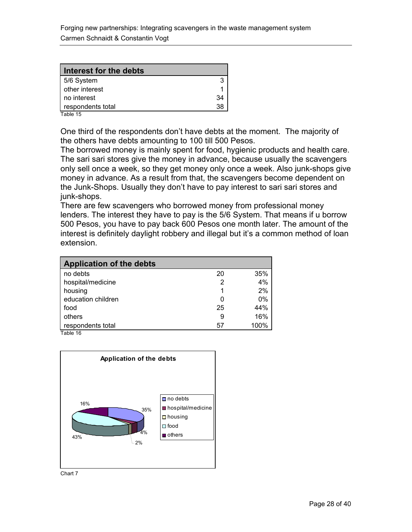| Interest for the debts |    |
|------------------------|----|
| 5/6 System             |    |
| other interest         |    |
| no interest            | 34 |
| respondents total      | 38 |

Table 15

One third of the respondents don't have debts at the moment. The majority of the others have debts amounting to 100 till 500 Pesos.

The borrowed money is mainly spent for food, hygienic products and health care. The sari sari stores give the money in advance, because usually the scavengers only sell once a week, so they get money only once a week. Also junk-shops give money in advance. As a result from that, the scavengers become dependent on the Junk-Shops. Usually they don't have to pay interest to sari sari stores and junk-shops.

There are few scavengers who borrowed money from professional money lenders. The interest they have to pay is the 5/6 System. That means if u borrow 500 Pesos, you have to pay back 600 Pesos one month later. The amount of the interest is definitely daylight robbery and illegal but it's a common method of loan extension.

| <b>Application of the debts</b> |              |      |
|---------------------------------|--------------|------|
| no debts                        | 20           | 35%  |
| hospital/medicine               | 2            | 4%   |
| housing                         |              | 2%   |
| education children              | $\mathbf{0}$ | 0%   |
| food                            | 25           | 44%  |
| others                          | 9            | 16%  |
| respondents total               | 57           | 100% |
| $T_0$ <sub>No</sub> $16$        |              |      |

Table 16



Chart 7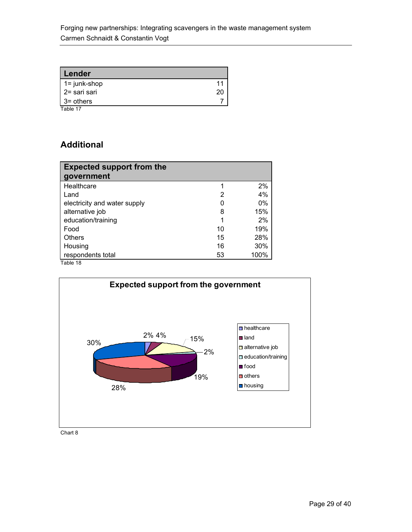<span id="page-28-0"></span>

| Lender          |    |
|-----------------|----|
| $1 = junk-shop$ |    |
| 2= sari sari    | 20 |
| l 3= others     |    |
| Table 17        |    |

#### **Additional**

| <b>Expected support from the</b><br>government |    |       |
|------------------------------------------------|----|-------|
| Healthcare                                     |    | 2%    |
| Land                                           | 2  | 4%    |
| electricity and water supply                   |    | $0\%$ |
| alternative job                                | 8  | 15%   |
| education/training                             |    | 2%    |
| Food                                           | 10 | 19%   |
| <b>Others</b>                                  | 15 | 28%   |
| Housing                                        | 16 | 30%   |
| respondents total                              | 53 | 100%  |
| Table 18                                       |    |       |



Chart 8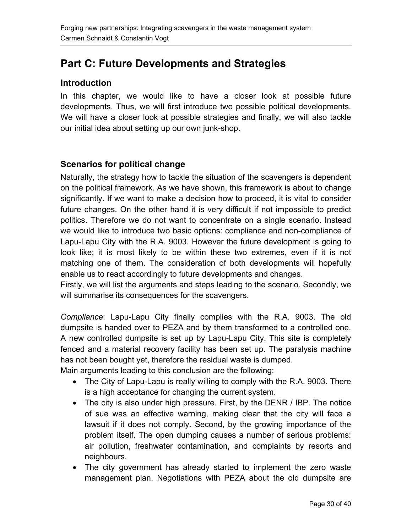# <span id="page-29-0"></span>**Part C: Future Developments and Strategies**

#### **Introduction**

In this chapter, we would like to have a closer look at possible future developments. Thus, we will first introduce two possible political developments. We will have a closer look at possible strategies and finally, we will also tackle our initial idea about setting up our own junk-shop.

#### **Scenarios for political change**

Naturally, the strategy how to tackle the situation of the scavengers is dependent on the political framework. As we have shown, this framework is about to change significantly. If we want to make a decision how to proceed, it is vital to consider future changes. On the other hand it is very difficult if not impossible to predict politics. Therefore we do not want to concentrate on a single scenario. Instead we would like to introduce two basic options: compliance and non-compliance of Lapu-Lapu City with the R.A. 9003. However the future development is going to look like; it is most likely to be within these two extremes, even if it is not matching one of them. The consideration of both developments will hopefully enable us to react accordingly to future developments and changes.

Firstly, we will list the arguments and steps leading to the scenario. Secondly, we will summarise its consequences for the scavengers.

*Compliance*: Lapu-Lapu City finally complies with the R.A. 9003. The old dumpsite is handed over to PEZA and by them transformed to a controlled one. A new controlled dumpsite is set up by Lapu-Lapu City. This site is completely fenced and a material recovery facility has been set up. The paralysis machine has not been bought yet, therefore the residual waste is dumped.

Main arguments leading to this conclusion are the following:

- The City of Lapu-Lapu is really willing to comply with the R.A. 9003. There is a high acceptance for changing the current system.
- The city is also under high pressure. First, by the DENR / IBP. The notice of sue was an effective warning, making clear that the city will face a lawsuit if it does not comply. Second, by the growing importance of the problem itself. The open dumping causes a number of serious problems: air pollution, freshwater contamination, and complaints by resorts and neighbours.
- The city government has already started to implement the zero waste management plan. Negotiations with PEZA about the old dumpsite are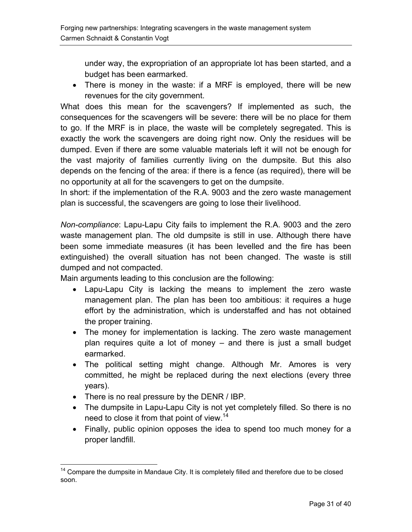under way, the expropriation of an appropriate lot has been started, and a budget has been earmarked.

• There is money in the waste: if a MRF is employed, there will be new revenues for the city government.

What does this mean for the scavengers? If implemented as such, the consequences for the scavengers will be severe: there will be no place for them to go. If the MRF is in place, the waste will be completely segregated. This is exactly the work the scavengers are doing right now. Only the residues will be dumped. Even if there are some valuable materials left it will not be enough for the vast majority of families currently living on the dumpsite. But this also depends on the fencing of the area: if there is a fence (as required), there will be no opportunity at all for the scavengers to get on the dumpsite.

In short: if the implementation of the R.A. 9003 and the zero waste management plan is successful, the scavengers are going to lose their livelihood.

*Non-compliance*: Lapu-Lapu City fails to implement the R.A. 9003 and the zero waste management plan. The old dumpsite is still in use. Although there have been some immediate measures (it has been levelled and the fire has been extinguished) the overall situation has not been changed. The waste is still dumped and not compacted.

Main arguments leading to this conclusion are the following:

- Lapu-Lapu City is lacking the means to implement the zero waste management plan. The plan has been too ambitious: it requires a huge effort by the administration, which is understaffed and has not obtained the proper training.
- The money for implementation is lacking. The zero waste management plan requires quite a lot of money – and there is just a small budget earmarked.
- The political setting might change. Although Mr. Amores is very committed, he might be replaced during the next elections (every three years).
- There is no real pressure by the DENR / IBP.
- The dumpsite in Lapu-Lapu City is not yet completely filled. So there is no need to close it from that point of view.<sup>[14](#page-30-0)</sup>
- Finally, public opinion opposes the idea to spend too much money for a proper landfill.

<span id="page-30-0"></span> $\overline{a}$  $14$  Compare the dumpsite in Mandaue City. It is completely filled and therefore due to be closed soon.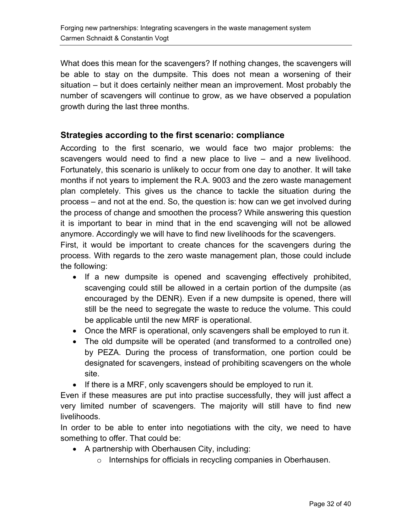<span id="page-31-0"></span>What does this mean for the scavengers? If nothing changes, the scavengers will be able to stay on the dumpsite. This does not mean a worsening of their situation – but it does certainly neither mean an improvement. Most probably the number of scavengers will continue to grow, as we have observed a population growth during the last three months.

#### **Strategies according to the first scenario: compliance**

According to the first scenario, we would face two major problems: the scavengers would need to find a new place to live – and a new livelihood. Fortunately, this scenario is unlikely to occur from one day to another. It will take months if not years to implement the R.A. 9003 and the zero waste management plan completely. This gives us the chance to tackle the situation during the process – and not at the end. So, the question is: how can we get involved during the process of change and smoothen the process? While answering this question it is important to bear in mind that in the end scavenging will not be allowed anymore. Accordingly we will have to find new livelihoods for the scavengers.

First, it would be important to create chances for the scavengers during the process. With regards to the zero waste management plan, those could include the following:

- If a new dumpsite is opened and scavenging effectively prohibited, scavenging could still be allowed in a certain portion of the dumpsite (as encouraged by the DENR). Even if a new dumpsite is opened, there will still be the need to segregate the waste to reduce the volume. This could be applicable until the new MRF is operational.
- Once the MRF is operational, only scavengers shall be employed to run it.
- The old dumpsite will be operated (and transformed to a controlled one) by PEZA. During the process of transformation, one portion could be designated for scavengers, instead of prohibiting scavengers on the whole site.
- If there is a MRF, only scavengers should be employed to run it.

Even if these measures are put into practise successfully, they will just affect a very limited number of scavengers. The majority will still have to find new livelihoods.

In order to be able to enter into negotiations with the city, we need to have something to offer. That could be:

- A partnership with Oberhausen City, including:
	- o Internships for officials in recycling companies in Oberhausen.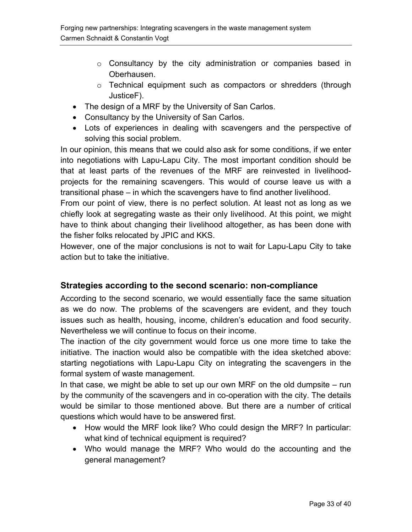- <span id="page-32-0"></span> $\circ$  Consultancy by the city administration or companies based in Oberhausen.
- o Technical equipment such as compactors or shredders (through JusticeF).
- The design of a MRF by the University of San Carlos.
- Consultancy by the University of San Carlos.
- Lots of experiences in dealing with scavengers and the perspective of solving this social problem.

In our opinion, this means that we could also ask for some conditions, if we enter into negotiations with Lapu-Lapu City. The most important condition should be that at least parts of the revenues of the MRF are reinvested in livelihoodprojects for the remaining scavengers. This would of course leave us with a transitional phase – in which the scavengers have to find another livelihood.

From our point of view, there is no perfect solution. At least not as long as we chiefly look at segregating waste as their only livelihood. At this point, we might have to think about changing their livelihood altogether, as has been done with the fisher folks relocated by JPIC and KKS.

However, one of the major conclusions is not to wait for Lapu-Lapu City to take action but to take the initiative.

#### **Strategies according to the second scenario: non-compliance**

According to the second scenario, we would essentially face the same situation as we do now. The problems of the scavengers are evident, and they touch issues such as health, housing, income, children's education and food security. Nevertheless we will continue to focus on their income.

The inaction of the city government would force us one more time to take the initiative. The inaction would also be compatible with the idea sketched above: starting negotiations with Lapu-Lapu City on integrating the scavengers in the formal system of waste management.

In that case, we might be able to set up our own MRF on the old dumpsite – run by the community of the scavengers and in co-operation with the city. The details would be similar to those mentioned above. But there are a number of critical questions which would have to be answered first.

- How would the MRF look like? Who could design the MRF? In particular: what kind of technical equipment is required?
- Who would manage the MRF? Who would do the accounting and the general management?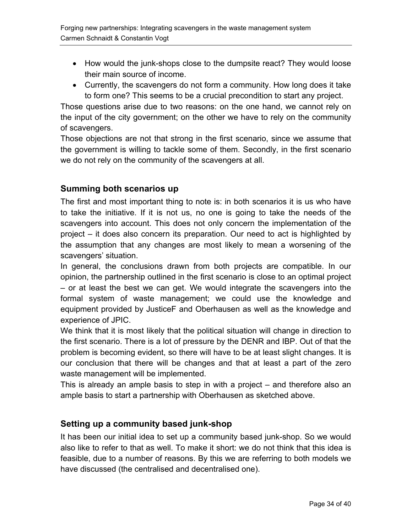- <span id="page-33-0"></span>• How would the junk-shops close to the dumpsite react? They would loose their main source of income.
- Currently, the scavengers do not form a community. How long does it take to form one? This seems to be a crucial precondition to start any project.

Those questions arise due to two reasons: on the one hand, we cannot rely on the input of the city government; on the other we have to rely on the community of scavengers.

Those objections are not that strong in the first scenario, since we assume that the government is willing to tackle some of them. Secondly, in the first scenario we do not rely on the community of the scavengers at all.

### **Summing both scenarios up**

The first and most important thing to note is: in both scenarios it is us who have to take the initiative. If it is not us, no one is going to take the needs of the scavengers into account. This does not only concern the implementation of the project – it does also concern its preparation. Our need to act is highlighted by the assumption that any changes are most likely to mean a worsening of the scavengers' situation.

In general, the conclusions drawn from both projects are compatible. In our opinion, the partnership outlined in the first scenario is close to an optimal project – or at least the best we can get. We would integrate the scavengers into the formal system of waste management; we could use the knowledge and equipment provided by JusticeF and Oberhausen as well as the knowledge and experience of JPIC.

We think that it is most likely that the political situation will change in direction to the first scenario. There is a lot of pressure by the DENR and IBP. Out of that the problem is becoming evident, so there will have to be at least slight changes. It is our conclusion that there will be changes and that at least a part of the zero waste management will be implemented.

This is already an ample basis to step in with a project – and therefore also an ample basis to start a partnership with Oberhausen as sketched above.

### **Setting up a community based junk-shop**

It has been our initial idea to set up a community based junk-shop. So we would also like to refer to that as well. To make it short: we do not think that this idea is feasible, due to a number of reasons. By this we are referring to both models we have discussed (the centralised and decentralised one).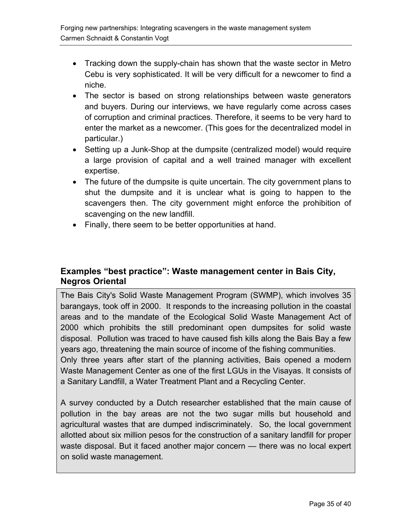- <span id="page-34-0"></span>• Tracking down the supply-chain has shown that the waste sector in Metro Cebu is very sophisticated. It will be very difficult for a newcomer to find a niche.
- The sector is based on strong relationships between waste generators and buyers. During our interviews, we have regularly come across cases of corruption and criminal practices. Therefore, it seems to be very hard to enter the market as a newcomer. (This goes for the decentralized model in particular.)
- Setting up a Junk-Shop at the dumpsite (centralized model) would require a large provision of capital and a well trained manager with excellent expertise.
- The future of the dumpsite is quite uncertain. The city government plans to shut the dumpsite and it is unclear what is going to happen to the scavengers then. The city government might enforce the prohibition of scavenging on the new landfill.
- Finally, there seem to be better opportunities at hand.

#### **Examples "best practice": Waste management center in Bais City, Negros Oriental**

The Bais City's Solid Waste Management Program (SWMP), which involves 35 barangays, took off in 2000. It responds to the increasing pollution in the coastal areas and to the mandate of the Ecological Solid Waste Management Act of 2000 which prohibits the still predominant open dumpsites for solid waste disposal. Pollution was traced to have caused fish kills along the Bais Bay a few years ago, threatening the main source of income of the fishing communities. Only three years after start of the planning activities, Bais opened a modern Waste Management Center as one of the first LGUs in the Visayas. It consists of a Sanitary Landfill, a Water Treatment Plant and a Recycling Center.

A survey conducted by a Dutch researcher established that the main cause of pollution in the bay areas are not the two sugar mills but household and agricultural wastes that are dumped indiscriminately. So, the local government allotted about six million pesos for the construction of a sanitary landfill for proper waste disposal. But it faced another major concern — there was no local expert on solid waste management.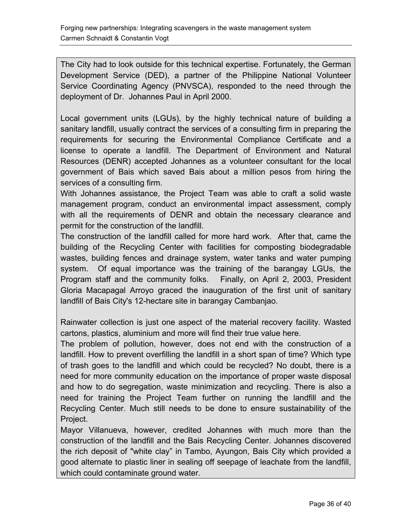The City had to look outside for this technical expertise. Fortunately, the German Development Service (DED), a partner of the Philippine National Volunteer Service Coordinating Agency (PNVSCA), responded to the need through the deployment of Dr. Johannes Paul in April 2000.

Local government units (LGUs), by the highly technical nature of building a sanitary landfill, usually contract the services of a consulting firm in preparing the requirements for securing the Environmental Compliance Certificate and a license to operate a landfill. The Department of Environment and Natural Resources (DENR) accepted Johannes as a volunteer consultant for the local government of Bais which saved Bais about a million pesos from hiring the services of a consulting firm.

With Johannes assistance, the Project Team was able to craft a solid waste management program, conduct an environmental impact assessment, comply with all the requirements of DENR and obtain the necessary clearance and permit for the construction of the landfill.

The construction of the landfill called for more hard work. After that, came the building of the Recycling Center with facilities for composting biodegradable wastes, building fences and drainage system, water tanks and water pumping system. Of equal importance was the training of the barangay LGUs, the Program staff and the community folks. Finally, on April 2, 2003, President Gloria Macapagal Arroyo graced the inauguration of the first unit of sanitary landfill of Bais City's 12-hectare site in barangay Cambanjao.

Rainwater collection is just one aspect of the material recovery facility. Wasted cartons, plastics, aluminium and more will find their true value here.

The problem of pollution, however, does not end with the construction of a landfill. How to prevent overfilling the landfill in a short span of time? Which type of trash goes to the landfill and which could be recycled? No doubt, there is a need for more community education on the importance of proper waste disposal and how to do segregation, waste minimization and recycling. There is also a need for training the Project Team further on running the landfill and the Recycling Center. Much still needs to be done to ensure sustainability of the Project.

Mayor Villanueva, however, credited Johannes with much more than the construction of the landfill and the Bais Recycling Center. Johannes discovered the rich deposit of "white clay" in Tambo, Ayungon, Bais City which provided a good alternate to plastic liner in sealing off seepage of leachate from the landfill, which could contaminate ground water.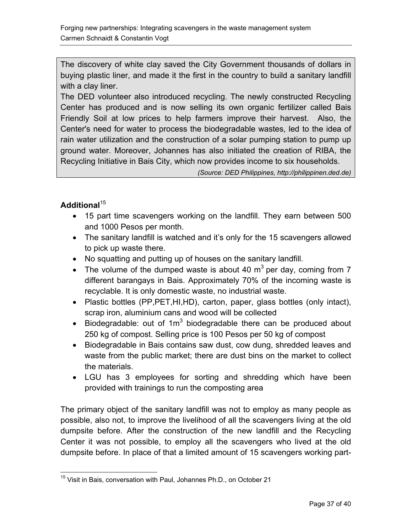The discovery of white clay saved the City Government thousands of dollars in buying plastic liner, and made it the first in the country to build a sanitary landfill with a clay liner.

The DED volunteer also introduced recycling. The newly constructed Recycling Center has produced and is now selling its own organic fertilizer called Bais Friendly Soil at low prices to help farmers improve their harvest. Also, the Center's need for water to process the biodegradable wastes, led to the idea of rain water utilization and the construction of a solar pumping station to pump up ground water. Moreover, Johannes has also initiated the creation of RIBA, the Recycling Initiative in Bais City, which now provides income to six households.

*(Source: DED Philippines, http://philippinen.ded.de)* 

#### **Additional**[15](#page-36-0)

- 15 part time scavengers working on the landfill. They earn between 500 and 1000 Pesos per month.
- The sanitary landfill is watched and it's only for the 15 scavengers allowed to pick up waste there.
- No squatting and putting up of houses on the sanitary landfill.
- The volume of the dumped waste is about 40  $m<sup>3</sup>$  per day, coming from 7 different barangays in Bais. Approximately 70% of the incoming waste is recyclable. It is only domestic waste, no industrial waste.
- Plastic bottles (PP,PET,HI,HD), carton, paper, glass bottles (only intact), scrap iron, aluminium cans and wood will be collected
- Biodegradable: out of  $1m^3$  biodegradable there can be produced about 250 kg of compost. Selling price is 100 Pesos per 50 kg of compost
- Biodegradable in Bais contains saw dust, cow dung, shredded leaves and waste from the public market; there are dust bins on the market to collect the materials.
- LGU has 3 employees for sorting and shredding which have been provided with trainings to run the composting area

The primary object of the sanitary landfill was not to employ as many people as possible, also not, to improve the livelihood of all the scavengers living at the old dumpsite before. After the construction of the new landfill and the Recycling Center it was not possible, to employ all the scavengers who lived at the old dumpsite before. In place of that a limited amount of 15 scavengers working part-

<span id="page-36-0"></span> $\overline{a}$ <sup>15</sup> Visit in Bais, conversation with Paul, Johannes Ph.D., on October 21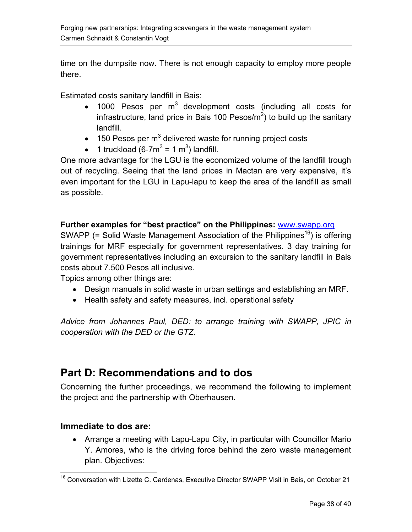<span id="page-37-0"></span>time on the dumpsite now. There is not enough capacity to employ more people there.

Estimated costs sanitary landfill in Bais:

- 1000 Pesos per  $m^3$  development costs (including all costs for infrastructure, land price in Bais 100 Pesos/ $m^2$ ) to build up the sanitary landfill.
- 150 Pesos per m<sup>3</sup> delivered waste for running project costs
- 1 truckload (6-7 $m^3$  = 1  $m^3$ ) landfill.

One more advantage for the LGU is the economized volume of the landfill trough out of recycling. Seeing that the land prices in Mactan are very expensive, it's even important for the LGU in Lapu-lapu to keep the area of the landfill as small as possible.

#### **Further examples for "best practice" on the Philippines:** [www.swapp.org](http://www.swapp.org/)

SWAPP (= Solid Waste Management Association of the Philippines<sup>16</sup>) is offering trainings for MRF especially for government representatives. 3 day training for government representatives including an excursion to the sanitary landfill in Bais costs about 7.500 Pesos all inclusive.

Topics among other things are:

- Design manuals in solid waste in urban settings and establishing an MRF.
- Health safety and safety measures, incl. operational safety

*Advice from Johannes Paul, DED: to arrange training with SWAPP, JPIC in cooperation with the DED or the GTZ.* 

# **Part D: Recommendations and to dos**

Concerning the further proceedings, we recommend the following to implement the project and the partnership with Oberhausen.

#### **Immediate to dos are:**

• Arrange a meeting with Lapu-Lapu City, in particular with Councillor Mario Y. Amores, who is the driving force behind the zero waste management plan. Objectives:

<span id="page-37-1"></span> $\overline{a}$ <sup>16</sup> Conversation with Lizette C. Cardenas, Executive Director SWAPP Visit in Bais, on October 21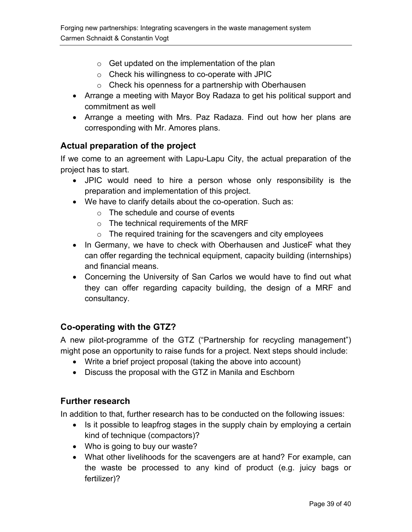- <span id="page-38-0"></span> $\circ$  Get updated on the implementation of the plan
- o Check his willingness to co-operate with JPIC
- o Check his openness for a partnership with Oberhausen
- Arrange a meeting with Mayor Boy Radaza to get his political support and commitment as well
- Arrange a meeting with Mrs. Paz Radaza. Find out how her plans are corresponding with Mr. Amores plans.

#### **Actual preparation of the project**

If we come to an agreement with Lapu-Lapu City, the actual preparation of the project has to start.

- JPIC would need to hire a person whose only responsibility is the preparation and implementation of this project.
- We have to clarify details about the co-operation. Such as:
	- o The schedule and course of events
	- o The technical requirements of the MRF
	- $\circ$  The required training for the scavengers and city employees
- In Germany, we have to check with Oberhausen and JusticeF what they can offer regarding the technical equipment, capacity building (internships) and financial means.
- Concerning the University of San Carlos we would have to find out what they can offer regarding capacity building, the design of a MRF and consultancy.

#### **Co-operating with the GTZ?**

A new pilot-programme of the GTZ ("Partnership for recycling management") might pose an opportunity to raise funds for a project. Next steps should include:

- Write a brief project proposal (taking the above into account)
- Discuss the proposal with the GTZ in Manila and Eschborn

#### **Further research**

In addition to that, further research has to be conducted on the following issues:

- Is it possible to leapfrog stages in the supply chain by employing a certain kind of technique (compactors)?
- Who is going to buy our waste?
- What other livelihoods for the scavengers are at hand? For example, can the waste be processed to any kind of product (e.g. juicy bags or fertilizer)?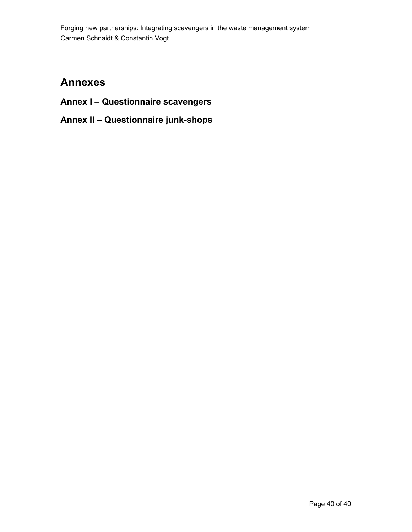# <span id="page-39-0"></span>**Annexes**

- **Annex I Questionnaire scavengers**
- **Annex II Questionnaire junk-shops**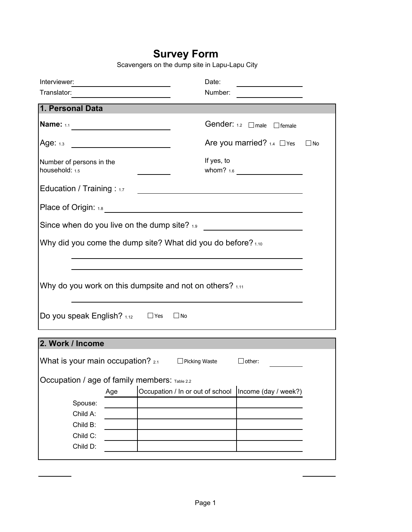### **Survey Form**

Scavengers on the dump site in Lapu-Lapu City

| Interviewer:                                                   |     | <u>and the state of the state of the state of the state of the state of the state of the state of the state of the state of the state of the state of the state of the state of the state of the state of the state of the state</u> | Date:      |                                                           |              |
|----------------------------------------------------------------|-----|--------------------------------------------------------------------------------------------------------------------------------------------------------------------------------------------------------------------------------------|------------|-----------------------------------------------------------|--------------|
| Translator:                                                    |     |                                                                                                                                                                                                                                      | Number:    | <u> 1990 - Jan Barbara Barbara, prima popula</u>          |              |
| 1. Personal Data                                               |     |                                                                                                                                                                                                                                      |            |                                                           |              |
| <b>Name:</b> 1.1                                               |     |                                                                                                                                                                                                                                      |            | Gender: 1.2 male Fremale                                  |              |
| Age: $1.3$                                                     |     | <u> 1980 - Jan Samuel Barbara, politik eta politik eta politik eta politik eta politik eta politik eta politik e</u>                                                                                                                 |            | Are you married? $1.4$ $\Box$ Yes                         | $\square$ No |
| Number of persons in the<br>household: 1.5                     |     |                                                                                                                                                                                                                                      | If yes, to |                                                           |              |
| Education / Training : $1.7$                                   |     |                                                                                                                                                                                                                                      |            | <u> 1989 - Johann John Stone, Amerikaansk politiker (</u> |              |
|                                                                |     |                                                                                                                                                                                                                                      |            |                                                           |              |
| Since when do you live on the dump site? $1.9$                 |     |                                                                                                                                                                                                                                      |            | <u> 1980 - Jan Samuel Barbara, politik e</u> ta p         |              |
| Why did you come the dump site? What did you do before? $1.10$ |     |                                                                                                                                                                                                                                      |            |                                                           |              |
|                                                                |     |                                                                                                                                                                                                                                      |            |                                                           |              |
| Why do you work on this dumpsite and not on others? 1.11       |     |                                                                                                                                                                                                                                      |            |                                                           |              |
| Do you speak English? $1.12$ $\Box$ Yes $\Box$ No              |     |                                                                                                                                                                                                                                      |            |                                                           |              |
| 2. Work / Income                                               |     |                                                                                                                                                                                                                                      |            |                                                           |              |
| What is your main occupation? $_{2.1}$ $\Box$ Picking Waste    |     |                                                                                                                                                                                                                                      |            | $\Box$ other:                                             |              |
| Occupation / age of family members: Table 2.2                  |     |                                                                                                                                                                                                                                      |            |                                                           |              |
|                                                                | Age | Occupation / In or out of school                                                                                                                                                                                                     |            | Income (day / week?)                                      |              |
| Spouse:                                                        |     |                                                                                                                                                                                                                                      |            |                                                           |              |
| Child A:                                                       |     |                                                                                                                                                                                                                                      |            |                                                           |              |
| Child B:                                                       |     |                                                                                                                                                                                                                                      |            |                                                           |              |
| Child C:                                                       |     |                                                                                                                                                                                                                                      |            |                                                           |              |
| Child D:                                                       |     |                                                                                                                                                                                                                                      |            |                                                           |              |
|                                                                |     |                                                                                                                                                                                                                                      |            |                                                           |              |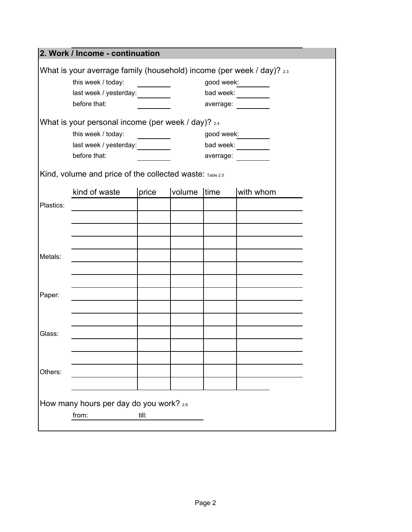|           | 2. Work / Income - continuation                                       |                                  |             |            |            |
|-----------|-----------------------------------------------------------------------|----------------------------------|-------------|------------|------------|
|           | What is your averrage family (household) income (per week / day)? 2.3 |                                  |             |            |            |
|           | this week / today:                                                    | <u> 1999 - Johann Barnett, f</u> |             |            | good week: |
|           |                                                                       |                                  |             |            | bad week:  |
|           | before that:                                                          |                                  |             |            | averrage:  |
|           |                                                                       |                                  |             |            |            |
|           | What is your personal income (per week / day)? 2.4                    |                                  |             |            |            |
|           | this week / today:                                                    | $\overline{\phantom{a}}$         |             | good week: |            |
|           | last week / yesterday: _________                                      |                                  |             |            | bad week:  |
|           | before that:                                                          |                                  |             |            | averrage:  |
|           | Kind, volume and price of the collected waste: Table 2.5              |                                  |             |            |            |
|           | kind of waste                                                         | price                            | volume time |            | with whom  |
| Plastics: |                                                                       |                                  |             |            |            |
|           |                                                                       |                                  |             |            |            |
|           |                                                                       |                                  |             |            |            |
|           |                                                                       |                                  |             |            |            |
|           |                                                                       |                                  |             |            |            |
| Metals:   |                                                                       |                                  |             |            |            |
|           |                                                                       |                                  |             |            |            |
|           |                                                                       |                                  |             |            |            |
| Paper:    |                                                                       |                                  |             |            |            |
|           |                                                                       |                                  |             |            |            |
|           |                                                                       |                                  |             |            |            |
|           |                                                                       |                                  |             |            |            |
| Glass:    |                                                                       |                                  |             |            |            |
|           |                                                                       |                                  |             |            |            |
|           |                                                                       |                                  |             |            |            |
| Others:   |                                                                       |                                  |             |            |            |
|           |                                                                       |                                  |             |            |            |
|           |                                                                       |                                  |             |            |            |
|           | How many hours per day do you work? 2.6                               |                                  |             |            |            |
|           | from:                                                                 | till:                            |             |            |            |
|           |                                                                       |                                  |             |            |            |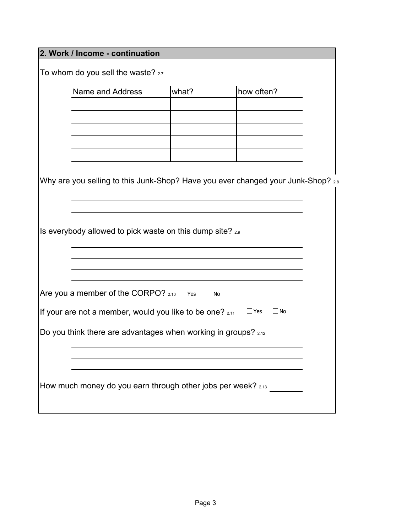|                                                                | 2. Work / Income - continuation                                                  |           |                         |  |  |  |  |  |
|----------------------------------------------------------------|----------------------------------------------------------------------------------|-----------|-------------------------|--|--|--|--|--|
|                                                                | To whom do you sell the waste? 2.7                                               |           |                         |  |  |  |  |  |
|                                                                | how often?<br>what?<br>Name and Address                                          |           |                         |  |  |  |  |  |
|                                                                |                                                                                  |           |                         |  |  |  |  |  |
|                                                                |                                                                                  |           |                         |  |  |  |  |  |
|                                                                |                                                                                  |           |                         |  |  |  |  |  |
|                                                                |                                                                                  |           |                         |  |  |  |  |  |
|                                                                | Why are you selling to this Junk-Shop? Have you ever changed your Junk-Shop? 2.8 |           |                         |  |  |  |  |  |
|                                                                |                                                                                  |           |                         |  |  |  |  |  |
|                                                                | Is everybody allowed to pick waste on this dump site? 2.9                        |           |                         |  |  |  |  |  |
|                                                                |                                                                                  |           |                         |  |  |  |  |  |
|                                                                |                                                                                  |           |                         |  |  |  |  |  |
|                                                                | Are you a member of the CORPO? $2.10$ $\Box$ Yes                                 | $\Box$ No |                         |  |  |  |  |  |
|                                                                | If your are not a member, would you like to be one? 2.11                         |           | $\Box$ Yes<br>$\Box$ No |  |  |  |  |  |
| Do you think there are advantages when working in groups? 2.12 |                                                                                  |           |                         |  |  |  |  |  |
|                                                                |                                                                                  |           |                         |  |  |  |  |  |
| How much money do you earn through other jobs per week? 2.13   |                                                                                  |           |                         |  |  |  |  |  |
|                                                                |                                                                                  |           |                         |  |  |  |  |  |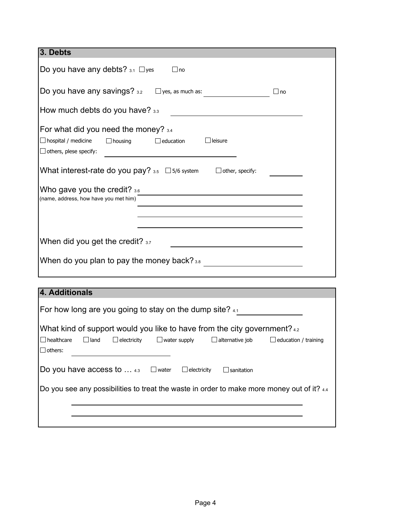| 3. Debts                                                                                                                                                                                                                              |
|---------------------------------------------------------------------------------------------------------------------------------------------------------------------------------------------------------------------------------------|
| Do you have any debts? $_{3.1}$ $\Box$ yes<br>$\Box$ no                                                                                                                                                                               |
| Do you have any savings? $_{3.2}$ $\Box$ yes, as much as:<br>∣⊥no                                                                                                                                                                     |
| How much debts do you have? 3.3                                                                                                                                                                                                       |
| For what did you need the money? 3.4<br>$\Box$ hospital / medicine<br>$\Box$ housing<br>$\Box$ education<br>$\Box$ leisure<br>$\Box$ others, plese specify:                                                                           |
| What interest-rate do you pay? $_{3.5}$ $\Box$ 5/6 system $\Box$ other, specify:                                                                                                                                                      |
| Who gave you the credit? $3.6$<br>(name, address, how have you met him)                                                                                                                                                               |
| When did you get the credit? 3.7<br>When do you plan to pay the money back? 3.8                                                                                                                                                       |
| 4. Additionals                                                                                                                                                                                                                        |
| For how long are you going to stay on the dump site? $41$                                                                                                                                                                             |
| What kind of support would you like to have from the city government? 4.2<br>$\Box$ healthcare<br>$\Box$ land<br>$\Box$ electricity<br>$\Box$ water supply<br>$\Box$ alternative job<br>$\Box$ education / training<br>$\Box$ others: |
| Do you have access to $\dots$ 4.3<br>$\Box$ water<br>$\Box$ electricity<br>$\Box$ sanitation                                                                                                                                          |
| Do you see any possibilities to treat the waste in order to make more money out of it? 4.4                                                                                                                                            |
|                                                                                                                                                                                                                                       |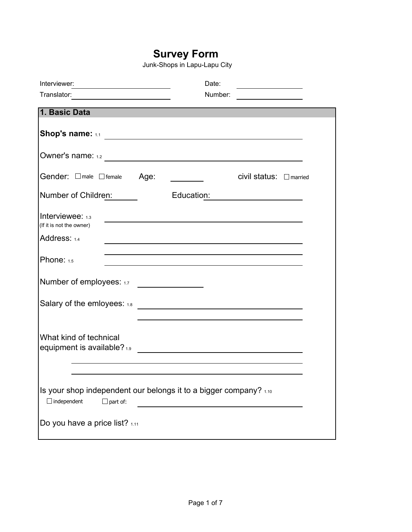### **Survey Form**

Junk-Shops in Lapu-Lapu City

|                                                                                                            |            | Date:                                                                                                                |  |
|------------------------------------------------------------------------------------------------------------|------------|----------------------------------------------------------------------------------------------------------------------|--|
|                                                                                                            |            | Number:                                                                                                              |  |
| 1. Basic Data                                                                                              |            |                                                                                                                      |  |
|                                                                                                            |            |                                                                                                                      |  |
|                                                                                                            |            |                                                                                                                      |  |
| Gender: $\Box$ male $\Box$ female                                                                          | Age:       | $\hbox{civil status: } \square$ married                                                                              |  |
| Number of Children:                                                                                        | Education: |                                                                                                                      |  |
| Interviewee: 1.3<br>(If it is not the owner)                                                               |            | <u> 1989 - Johann Stein, mars an deutscher Stein (d. 1989)</u>                                                       |  |
| Address: 1.4                                                                                               |            |                                                                                                                      |  |
| Phone: 1.5                                                                                                 |            | and the control of the control of the control of the control of the control of the control of the control of the     |  |
| Number of employees: 1.7                                                                                   |            |                                                                                                                      |  |
| Salary of the emloyees: 1.8                                                                                |            | <u> 1980 - Jan Samuel Barbara, martin da shekara 1980 - An tsara 1980 - An tsara 1980 - An tsara 1980 - An tsara</u> |  |
| What kind of technical<br>equipment is available? 1.9                                                      |            |                                                                                                                      |  |
| Is your shop independent our belongs it to a bigger company? 1.10<br>$\Box$ independent<br>$\Box$ part of: |            |                                                                                                                      |  |
| Do you have a price list? 1.11                                                                             |            |                                                                                                                      |  |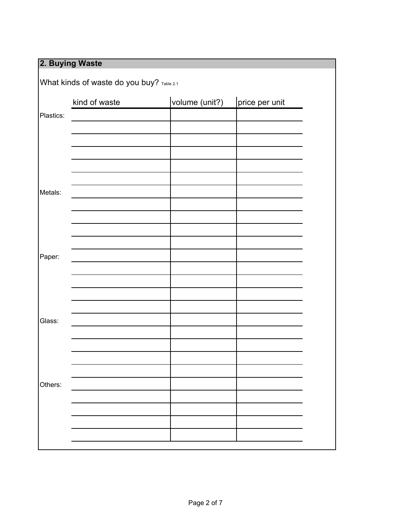# **2. Buying Waste**

|           | What kinds of waste do you buy? Table 2.1 |                |                |
|-----------|-------------------------------------------|----------------|----------------|
|           | kind of waste                             | volume (unit?) | price per unit |
| Plastics: |                                           |                |                |
|           |                                           |                |                |
|           |                                           |                |                |
|           |                                           |                |                |
|           |                                           |                |                |
|           |                                           |                |                |
| Metals:   |                                           |                |                |
|           |                                           |                |                |
|           |                                           |                |                |
|           |                                           |                |                |
|           |                                           |                |                |
| Paper:    |                                           |                |                |
|           |                                           |                |                |
|           |                                           |                |                |
|           |                                           |                |                |
| Glass:    |                                           |                |                |
|           |                                           |                |                |
|           |                                           |                |                |
|           |                                           |                |                |
|           |                                           |                |                |
| Others:   |                                           |                |                |
|           |                                           |                |                |
|           |                                           |                |                |
|           |                                           |                |                |
|           |                                           |                |                |
|           |                                           |                |                |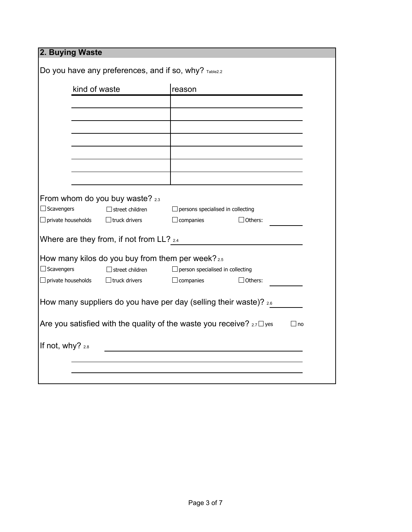| Do you have any preferences, and if so, why? Table2.2<br>kind of waste<br>reason<br>From whom do you buy waste? 2.3<br>$\Box$ Scavengers<br>$\Box$ street children<br>$\Box$ private households<br>$\Box$ truck drivers<br>$\Box$ companies<br>Where are they from, if not from LL? 2.4<br>How many kilos do you buy from them per week? 2.5<br>$\Box$ Scavengers<br>$\Box$ street children<br>$\Box$ private households<br>$\Box$ truck drivers<br>$\Box$ companies<br>How many suppliers do you have per day (selling their waste)? 2.6<br>Are you satisfied with the quality of the waste you receive? $_{2.7}\square$ yes |                                          |  |  |  |  |
|-------------------------------------------------------------------------------------------------------------------------------------------------------------------------------------------------------------------------------------------------------------------------------------------------------------------------------------------------------------------------------------------------------------------------------------------------------------------------------------------------------------------------------------------------------------------------------------------------------------------------------|------------------------------------------|--|--|--|--|
|                                                                                                                                                                                                                                                                                                                                                                                                                                                                                                                                                                                                                               |                                          |  |  |  |  |
|                                                                                                                                                                                                                                                                                                                                                                                                                                                                                                                                                                                                                               |                                          |  |  |  |  |
|                                                                                                                                                                                                                                                                                                                                                                                                                                                                                                                                                                                                                               |                                          |  |  |  |  |
|                                                                                                                                                                                                                                                                                                                                                                                                                                                                                                                                                                                                                               |                                          |  |  |  |  |
|                                                                                                                                                                                                                                                                                                                                                                                                                                                                                                                                                                                                                               |                                          |  |  |  |  |
|                                                                                                                                                                                                                                                                                                                                                                                                                                                                                                                                                                                                                               |                                          |  |  |  |  |
|                                                                                                                                                                                                                                                                                                                                                                                                                                                                                                                                                                                                                               |                                          |  |  |  |  |
|                                                                                                                                                                                                                                                                                                                                                                                                                                                                                                                                                                                                                               |                                          |  |  |  |  |
|                                                                                                                                                                                                                                                                                                                                                                                                                                                                                                                                                                                                                               |                                          |  |  |  |  |
|                                                                                                                                                                                                                                                                                                                                                                                                                                                                                                                                                                                                                               |                                          |  |  |  |  |
|                                                                                                                                                                                                                                                                                                                                                                                                                                                                                                                                                                                                                               | $\Box$ persons specialised in collecting |  |  |  |  |
|                                                                                                                                                                                                                                                                                                                                                                                                                                                                                                                                                                                                                               | $\Box$ Others:                           |  |  |  |  |
|                                                                                                                                                                                                                                                                                                                                                                                                                                                                                                                                                                                                                               |                                          |  |  |  |  |
|                                                                                                                                                                                                                                                                                                                                                                                                                                                                                                                                                                                                                               |                                          |  |  |  |  |
|                                                                                                                                                                                                                                                                                                                                                                                                                                                                                                                                                                                                                               |                                          |  |  |  |  |
|                                                                                                                                                                                                                                                                                                                                                                                                                                                                                                                                                                                                                               | $\Box$ person specialised in collecting  |  |  |  |  |
|                                                                                                                                                                                                                                                                                                                                                                                                                                                                                                                                                                                                                               | $\Box$ Others:                           |  |  |  |  |
|                                                                                                                                                                                                                                                                                                                                                                                                                                                                                                                                                                                                                               |                                          |  |  |  |  |
|                                                                                                                                                                                                                                                                                                                                                                                                                                                                                                                                                                                                                               |                                          |  |  |  |  |
|                                                                                                                                                                                                                                                                                                                                                                                                                                                                                                                                                                                                                               | $\Box$ no                                |  |  |  |  |
|                                                                                                                                                                                                                                                                                                                                                                                                                                                                                                                                                                                                                               |                                          |  |  |  |  |
| If not, why? 2.8                                                                                                                                                                                                                                                                                                                                                                                                                                                                                                                                                                                                              |                                          |  |  |  |  |
|                                                                                                                                                                                                                                                                                                                                                                                                                                                                                                                                                                                                                               |                                          |  |  |  |  |
|                                                                                                                                                                                                                                                                                                                                                                                                                                                                                                                                                                                                                               |                                          |  |  |  |  |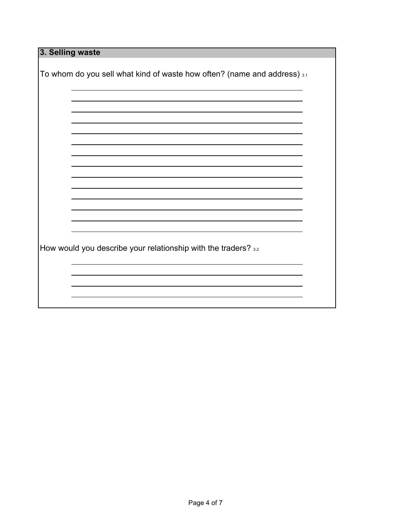**3. Selling waste** To whom do you sell what kind of waste how often? (name and address)  $3.1$ How would you describe your relationship with the traders? 3.2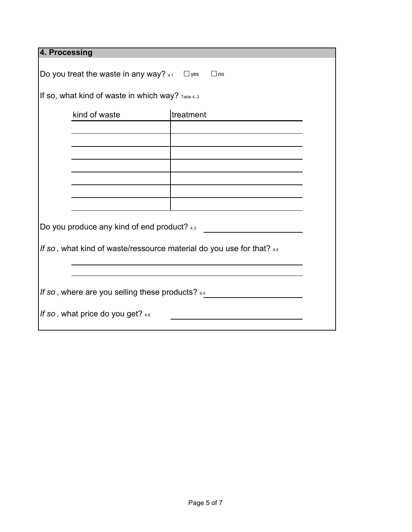| 4. Processing                                                        |           |  |  |  |  |
|----------------------------------------------------------------------|-----------|--|--|--|--|
| Do you treat the waste in any way? $4.1$ $\Box$ yes<br>$\Box$ no     |           |  |  |  |  |
| If so, what kind of waste in which way? Table 42                     |           |  |  |  |  |
| kind of waste                                                        | treatment |  |  |  |  |
|                                                                      |           |  |  |  |  |
|                                                                      |           |  |  |  |  |
|                                                                      |           |  |  |  |  |
|                                                                      |           |  |  |  |  |
|                                                                      |           |  |  |  |  |
| Do you produce any kind of end product? 4.3                          |           |  |  |  |  |
| If so, what kind of waste/ressource material do you use for that? 44 |           |  |  |  |  |
|                                                                      |           |  |  |  |  |
| If so, where are you selling these products? 4.5                     |           |  |  |  |  |
| If so, what price do you get? 46                                     |           |  |  |  |  |